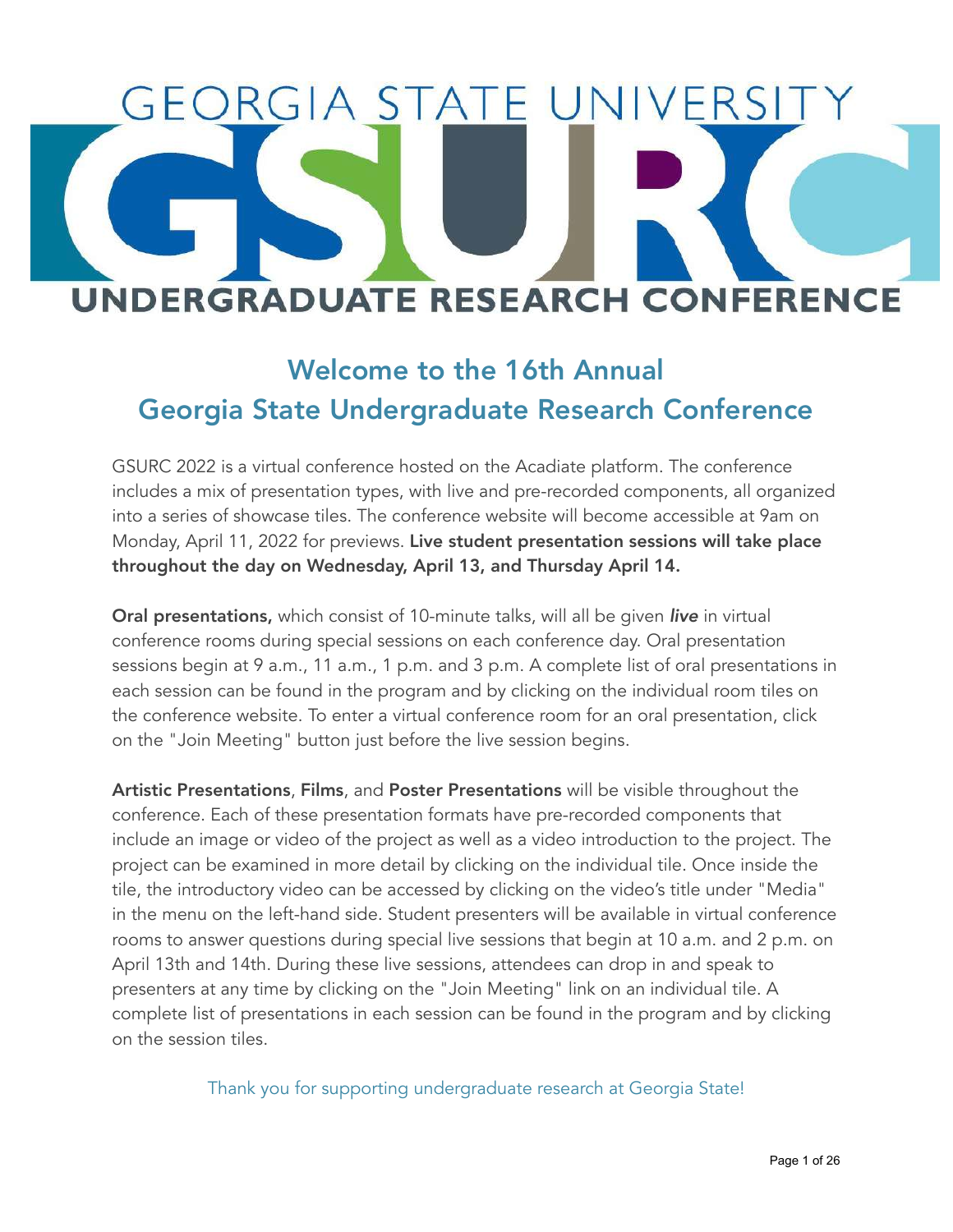# EORGIA STATE UNIVERSI **UNDERGRADUATE RESEARCH CONFERENCE**

## Welcome to the 16th Annual Georgia State Undergraduate Research Conference

GSURC 2022 is a virtual conference hosted on the Acadiate platform. The conference includes a mix of presentation types, with live and pre-recorded components, all organized into a series of showcase tiles. The conference website will become accessible at 9am on Monday, April 11, 2022 for previews. Live student presentation sessions will take place throughout the day on Wednesday, April 13, and Thursday April 14.

Oral presentations, which consist of 10-minute talks, will all be given *live* in virtual conference rooms during special sessions on each conference day. Oral presentation sessions begin at 9 a.m., 11 a.m., 1 p.m. and 3 p.m. A complete list of oral presentations in each session can be found in the program and by clicking on the individual room tiles on the conference website. To enter a virtual conference room for an oral presentation, click on the "Join Meeting" button just before the live session begins.

Artistic Presentations, Films, and Poster Presentations will be visible throughout the conference. Each of these presentation formats have pre-recorded components that include an image or video of the project as well as a video introduction to the project. The project can be examined in more detail by clicking on the individual tile. Once inside the tile, the introductory video can be accessed by clicking on the video's title under "Media" in the menu on the left-hand side. Student presenters will be available in virtual conference rooms to answer questions during special live sessions that begin at 10 a.m. and 2 p.m. on April 13th and 14th. During these live sessions, attendees can drop in and speak to presenters at any time by clicking on the "Join Meeting" link on an individual tile. A complete list of presentations in each session can be found in the program and by clicking on the session tiles.

Thank you for supporting undergraduate research at Georgia State!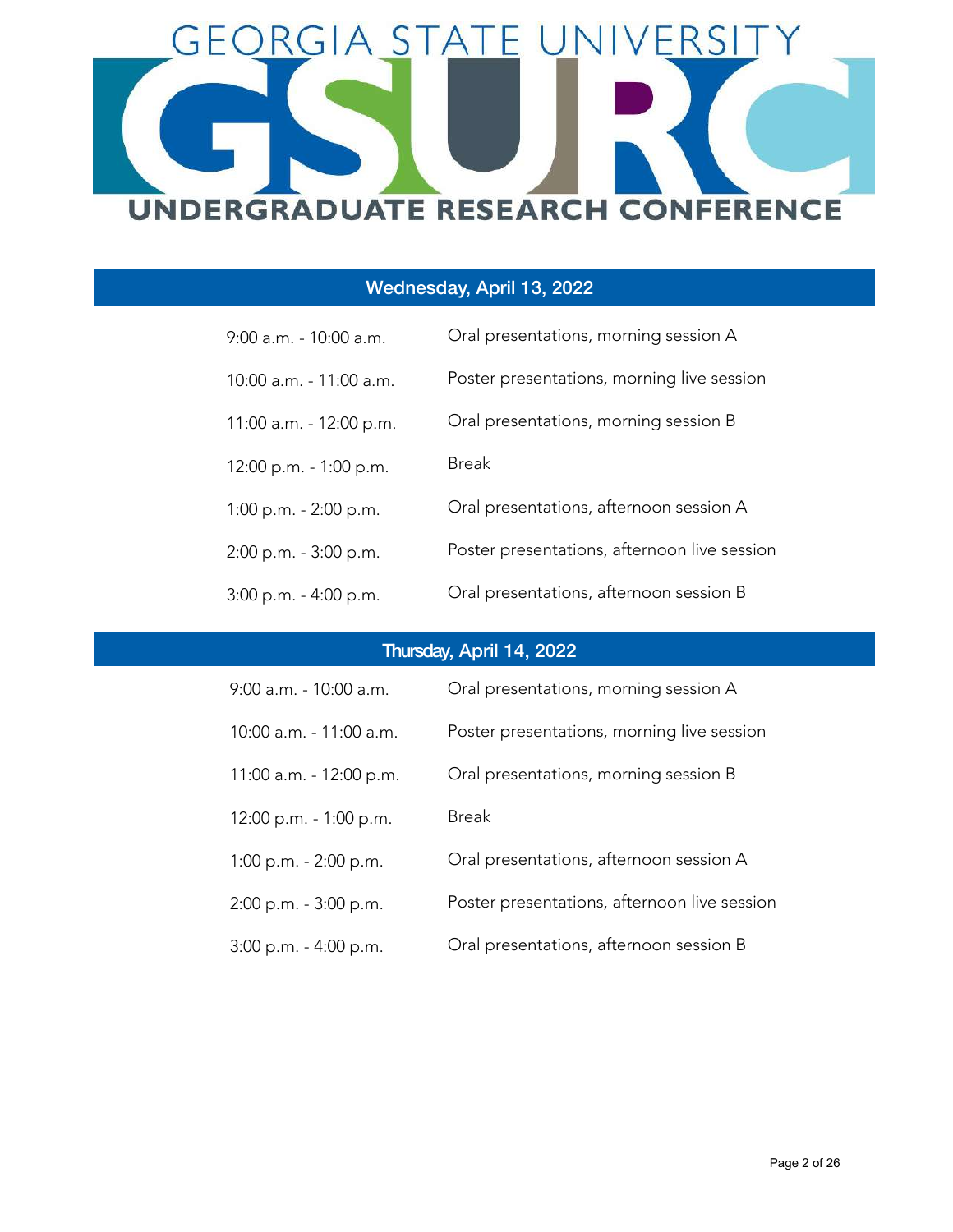

#### Wednesday, April 13, 2022

| $9:00$ a.m. - 10:00 a.m.  | Oral presentations, morning session A        |
|---------------------------|----------------------------------------------|
| 10:00 a.m. - 11:00 a.m.   | Poster presentations, morning live session   |
| 11:00 a.m. - 12:00 p.m.   | Oral presentations, morning session B        |
| 12:00 p.m. - 1:00 p.m.    | <b>Break</b>                                 |
| $1:00$ p.m. $-2:00$ p.m.  | Oral presentations, afternoon session A      |
| $2:00$ p.m. - $3:00$ p.m. | Poster presentations, afternoon live session |
| 3:00 p.m. - 4:00 p.m.     | Oral presentations, afternoon session B      |

#### Thursday, April 14, 2022

| 9:00 a.m. - 10:00 a.m.   | Oral presentations, morning session A        |
|--------------------------|----------------------------------------------|
| 10:00 a.m. - 11:00 a.m.  | Poster presentations, morning live session   |
| 11:00 a.m. - 12:00 p.m.  | Oral presentations, morning session B        |
| 12:00 p.m. - 1:00 p.m.   | Break                                        |
| $1:00$ p.m. $-2:00$ p.m. | Oral presentations, afternoon session A      |
| 2:00 p.m. - 3:00 p.m.    | Poster presentations, afternoon live session |
| 3:00 p.m. - 4:00 p.m.    | Oral presentations, afternoon session B      |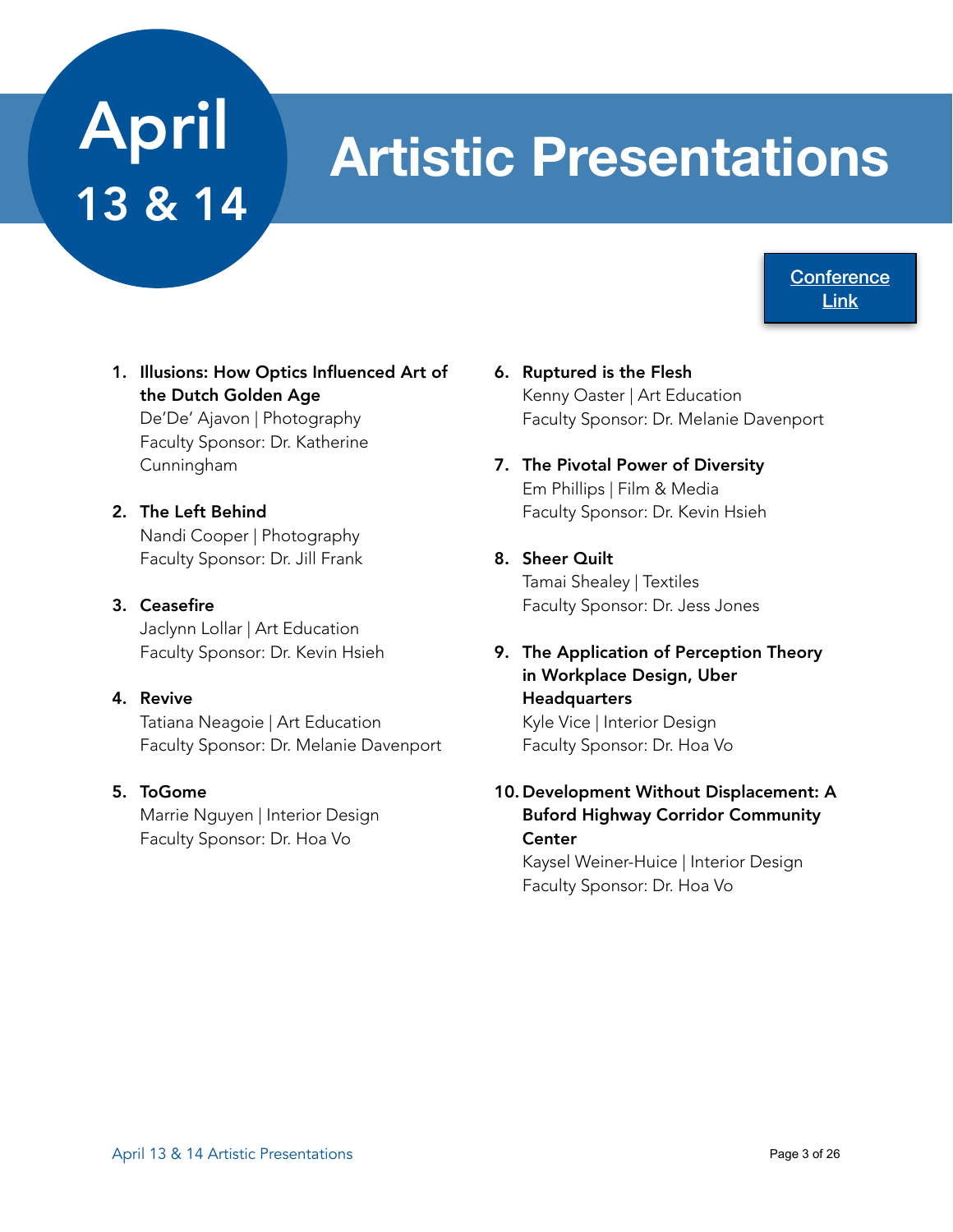# April 13 & 14

# **Artistic Presentations**

**Conference** [Link](https://www.acadiate.com//ee/GSURC/Artistic_Displays3)

1. Illusions: How Optics Influenced Art of the Dutch Golden Age

De'De' Ajavon | Photography Faculty Sponsor: Dr. Katherine Cunningham

2. The Left Behind Nandi Cooper | Photography Faculty Sponsor: Dr. Jill Frank

#### 3. Ceasefire

Jaclynn Lollar | Art Education Faculty Sponsor: Dr. Kevin Hsieh

#### 4. Revive

Tatiana Neagoie | Art Education Faculty Sponsor: Dr. Melanie Davenport

#### 5. ToGome

Marrie Nguyen | Interior Design Faculty Sponsor: Dr. Hoa Vo

- 6. Ruptured is the Flesh Kenny Oaster | Art Education Faculty Sponsor: Dr. Melanie Davenport
- 7. The Pivotal Power of Diversity Em Phillips | Film & Media Faculty Sponsor: Dr. Kevin Hsieh
- 8. Sheer Quilt Tamai Shealey | Textiles Faculty Sponsor: Dr. Jess Jones
- 9. The Application of Perception Theory in Workplace Design, Uber **Headquarters** Kyle Vice | Interior Design

Faculty Sponsor: Dr. Hoa Vo

#### 10. Development Without Displacement: A Buford Highway Corridor Community **Center**

Kaysel Weiner-Huice | Interior Design Faculty Sponsor: Dr. Hoa Vo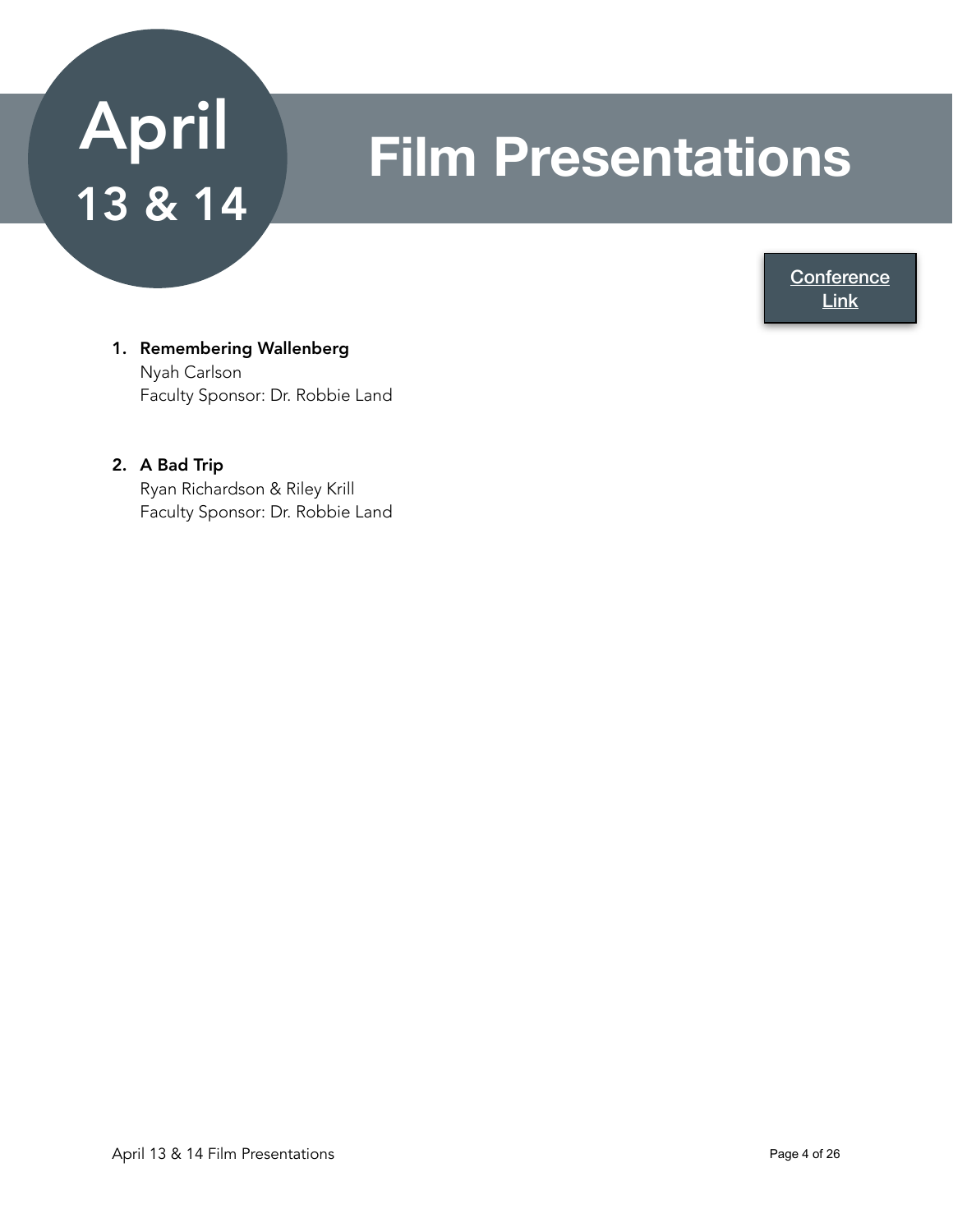# April 13 & 14

## **Film Presentations**

**Conference** [Link](https://www.acadiate.com//ee/GSURC/Film_&_Music3)

#### 1. Remembering Wallenberg Nyah Carlson Faculty Sponsor: Dr. Robbie Land

#### 2. A Bad Trip Ryan Richardson & Riley Krill Faculty Sponsor: Dr. Robbie Land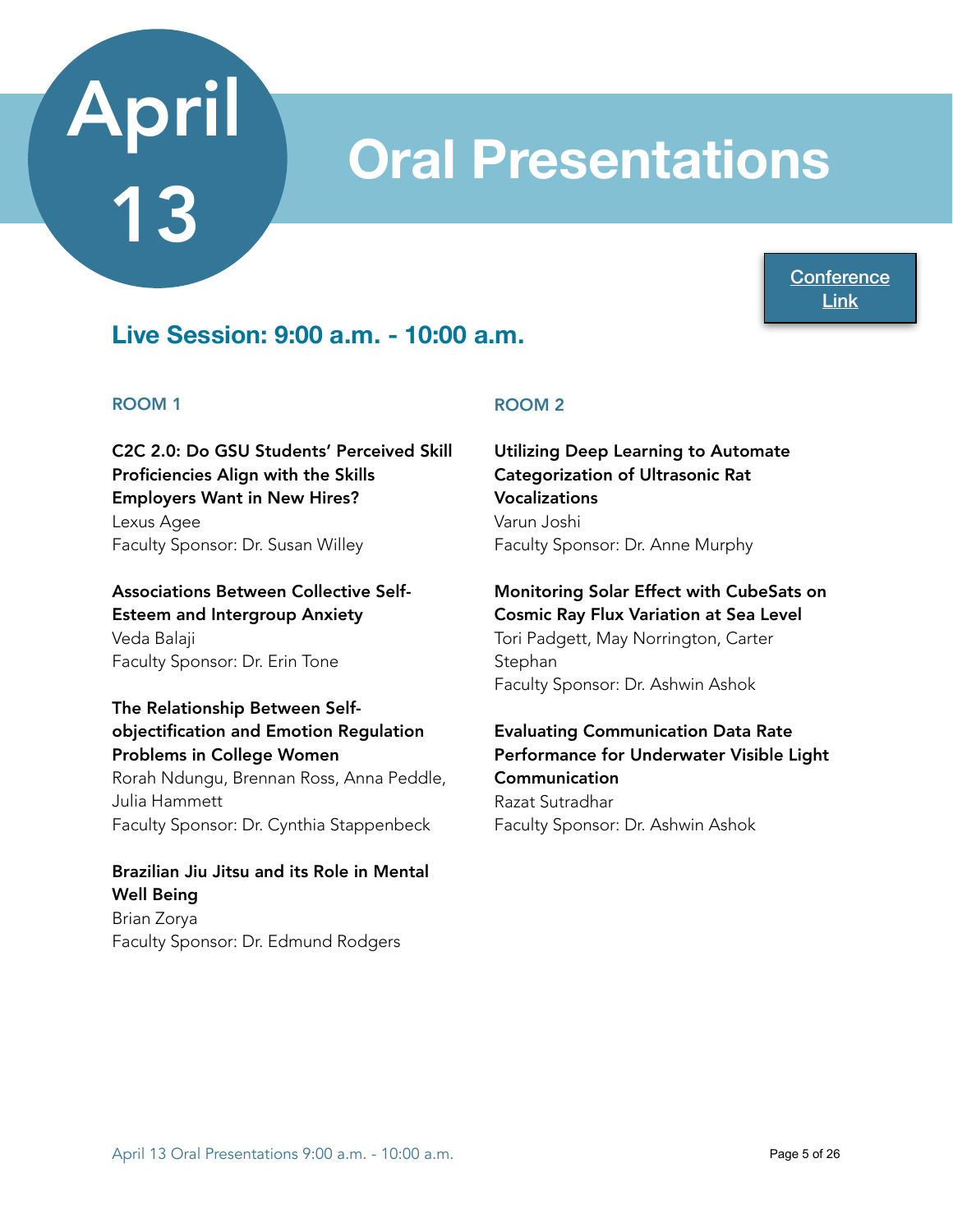## **Oral Presentations**

**Conference** [Link](https://www.acadiate.com//ee/GSURC/Morning_Session_A_-_9AM)

### **Live Session: 9:00 a.m. - 10:00 a.m.**

#### ROOM 1

C2C 2.0: Do GSU Students' Perceived Skill Proficiencies Align with the Skills Employers Want in New Hires?

Lexus Agee Faculty Sponsor: Dr. Susan Willey

Associations Between Collective Self-Esteem and Intergroup Anxiety Veda Balaji Faculty Sponsor: Dr. Erin Tone

#### The Relationship Between Selfobjectification and Emotion Regulation Problems in College Women

Rorah Ndungu, Brennan Ross, Anna Peddle, Julia Hammett Faculty Sponsor: Dr. Cynthia Stappenbeck

#### Brazilian Jiu Jitsu and its Role in Mental Well Being Brian Zorya Faculty Sponsor: Dr. Edmund Rodgers

#### ROOM 2

Utilizing Deep Learning to Automate Categorization of Ultrasonic Rat Vocalizations Varun Joshi Faculty Sponsor: Dr. Anne Murphy

#### Monitoring Solar Effect with CubeSats on Cosmic Ray Flux Variation at Sea Level Tori Padgett, May Norrington, Carter Stephan

Faculty Sponsor: Dr. Ashwin Ashok

Evaluating Communication Data Rate Performance for Underwater Visible Light Communication Razat Sutradhar Faculty Sponsor: Dr. Ashwin Ashok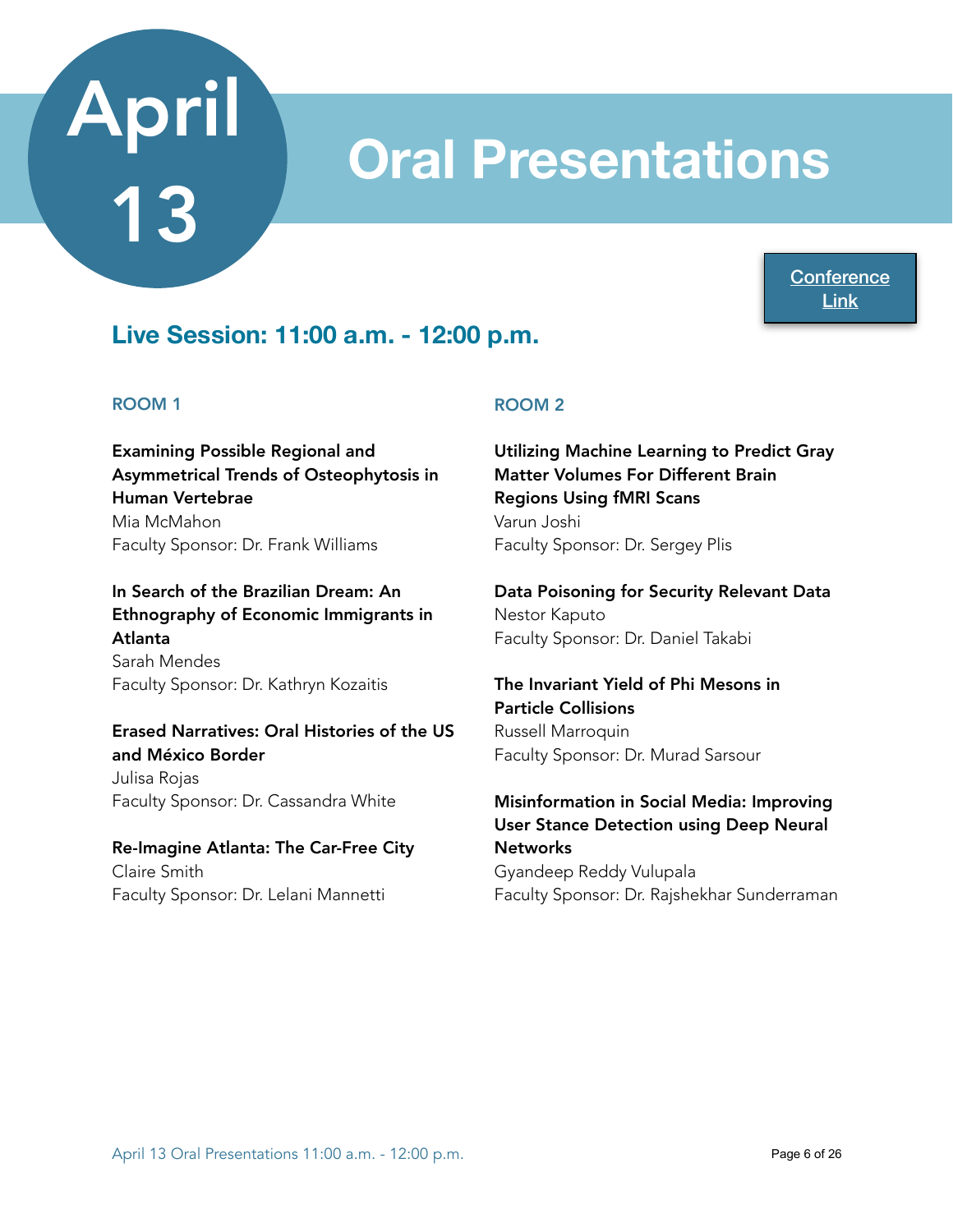## **Oral Presentations**

**Conference** [Link](https://www.acadiate.com//ee/GSURC/Morning_Session_B_-_11AM)

### **Live Session: 11:00 a.m. - 12:00 p.m.**

#### ROOM 1

Examining Possible Regional and Asymmetrical Trends of Osteophytosis in Human Vertebrae Mia McMahon Faculty Sponsor: Dr. Frank Williams

In Search of the Brazilian Dream: An Ethnography of Economic Immigrants in Atlanta Sarah Mendes Faculty Sponsor: Dr. Kathryn Kozaitis

#### Erased Narratives: Oral Histories of the US and México Border

Julisa Rojas Faculty Sponsor: Dr. Cassandra White

Re-Imagine Atlanta: The Car-Free City Claire Smith Faculty Sponsor: Dr. Lelani Mannetti

#### ROOM 2

Utilizing Machine Learning to Predict Gray Matter Volumes For Different Brain Regions Using fMRI Scans Varun Joshi Faculty Sponsor: Dr. Sergey Plis

Data Poisoning for Security Relevant Data Nestor Kaputo Faculty Sponsor: Dr. Daniel Takabi

The Invariant Yield of Phi Mesons in Particle Collisions Russell Marroquin Faculty Sponsor: Dr. Murad Sarsour

Misinformation in Social Media: Improving User Stance Detection using Deep Neural **Networks** Gyandeep Reddy Vulupala Faculty Sponsor: Dr. Rajshekhar Sunderraman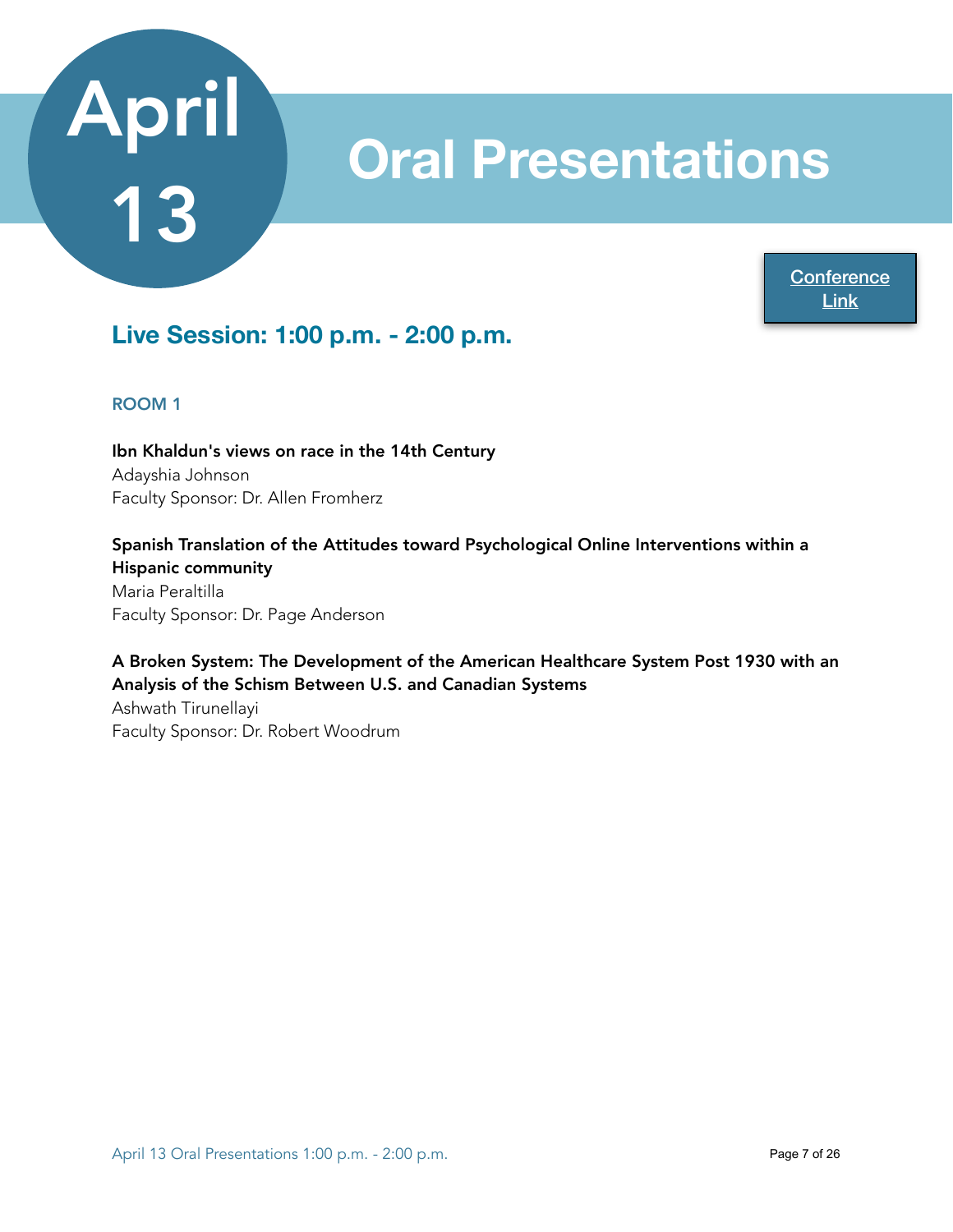## **Oral Presentations**

**Conference** [Link](https://www.acadiate.com//ee/GSURC/Afternoon_Session_A_-_1PM?view=std&showcase=949620649)

## **Live Session: 1:00 p.m. - 2:00 p.m.**

#### ROOM 1

Ibn Khaldun's views on race in the 14th Century Adayshia Johnson Faculty Sponsor: Dr. Allen Fromherz

Spanish Translation of the Attitudes toward Psychological Online Interventions within a Hispanic community Maria Peraltilla Faculty Sponsor: Dr. Page Anderson

#### A Broken System: The Development of the American Healthcare System Post 1930 with an Analysis of the Schism Between U.S. and Canadian Systems

Ashwath Tirunellayi Faculty Sponsor: Dr. Robert Woodrum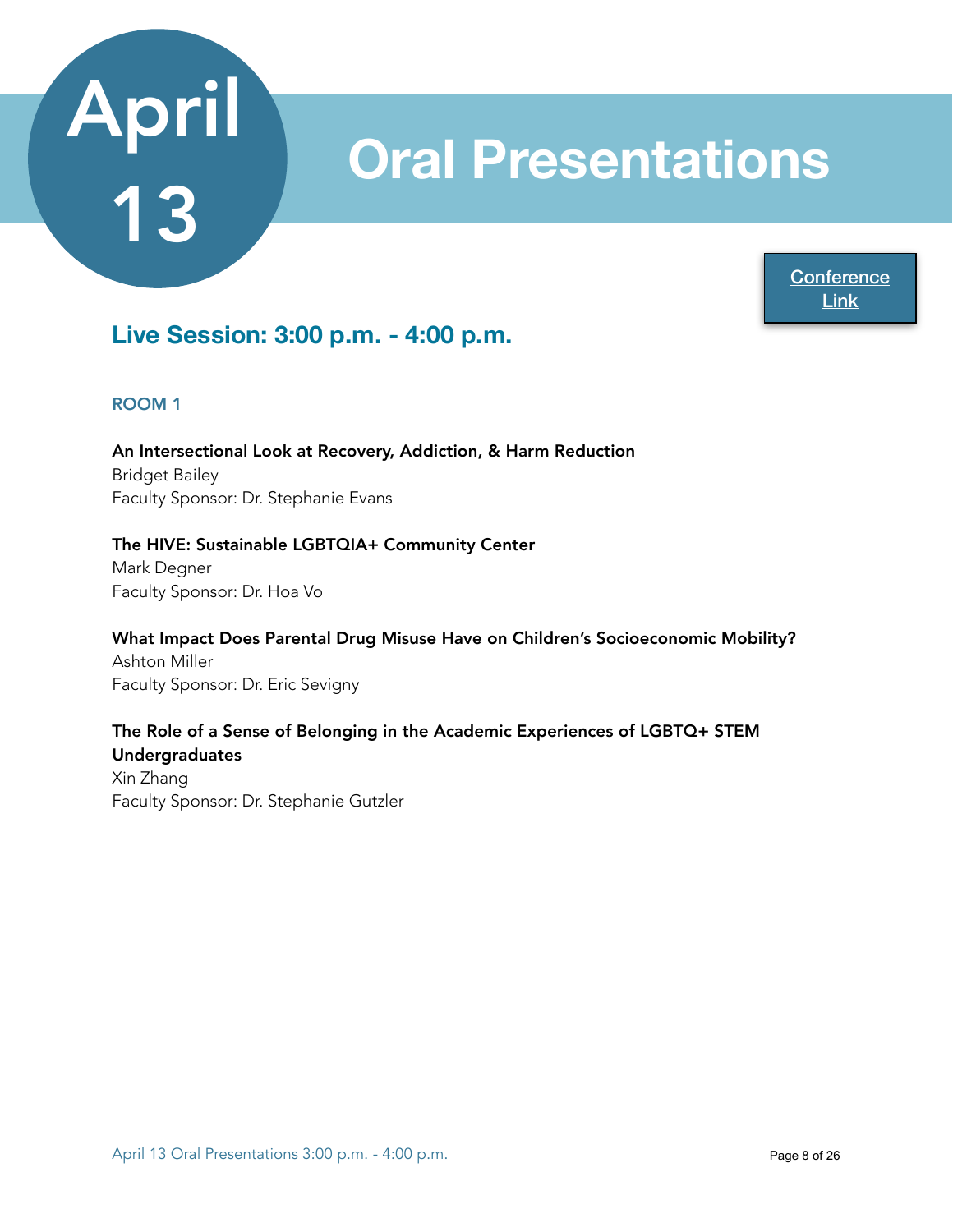## **Oral Presentations**

**Conference** [Link](https://www.acadiate.com//ee/GSURC/Afternoon_Session_B_-_3PM?view=std&showcase=424125578)

### **Live Session: 3:00 p.m. - 4:00 p.m.**

#### ROOM 1

An Intersectional Look at Recovery, Addiction, & Harm Reduction Bridget Bailey Faculty Sponsor: Dr. Stephanie Evans

#### The HIVE: Sustainable LGBTQIA+ Community Center

Mark Degner Faculty Sponsor: Dr. Hoa Vo

What Impact Does Parental Drug Misuse Have on Children's Socioeconomic Mobility? Ashton Miller Faculty Sponsor: Dr. Eric Sevigny

#### The Role of a Sense of Belonging in the Academic Experiences of LGBTQ+ STEM Undergraduates

Xin Zhang Faculty Sponsor: Dr. Stephanie Gutzler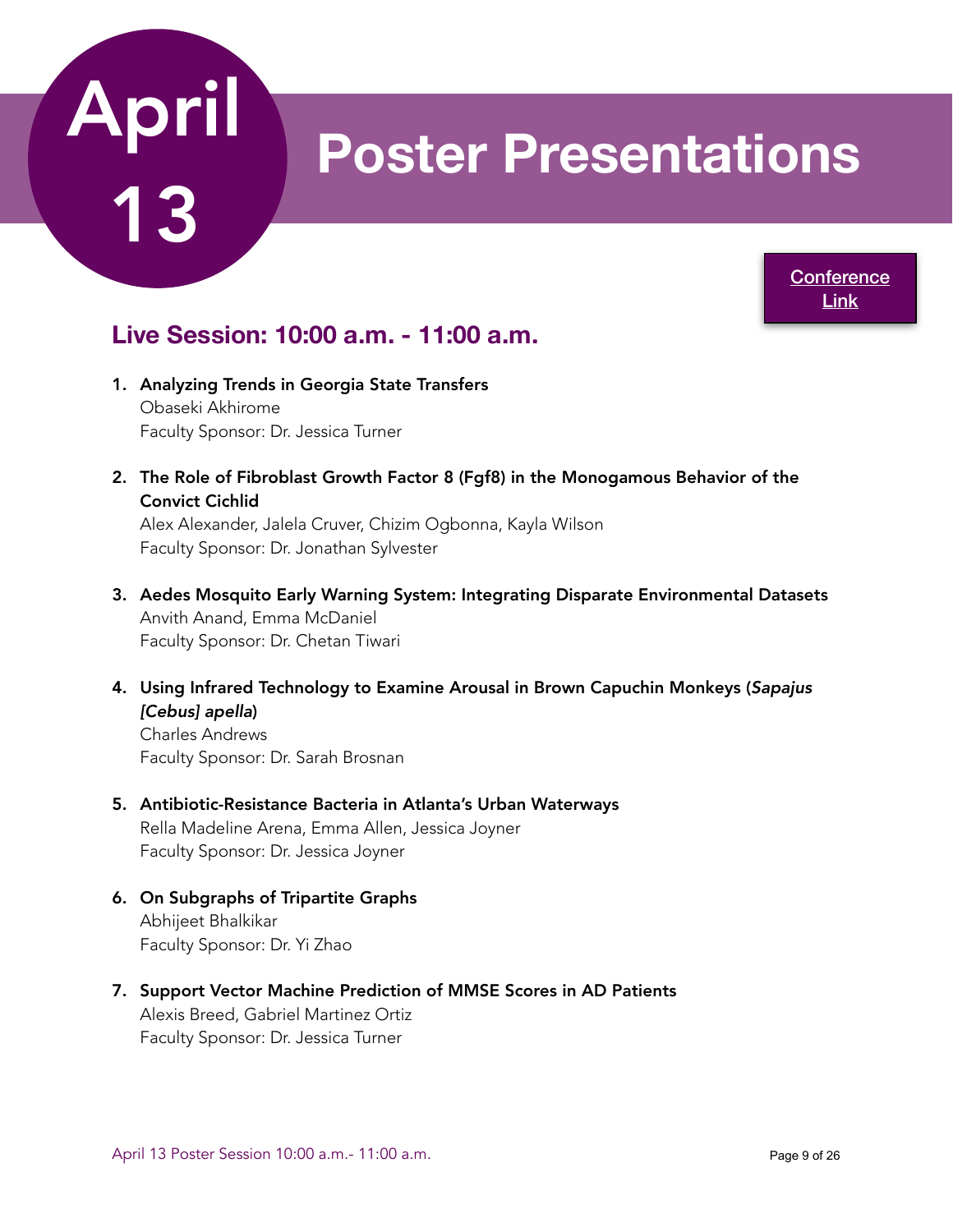

## **Poster Presentations**

**Conference** [Link](https://www.acadiate.com//ee/GSURC/10AM_Poster_Session)

### **Live Session: 10:00 a.m. - 11:00 a.m.**

- 1. Analyzing Trends in Georgia State Transfers Obaseki Akhirome Faculty Sponsor: Dr. Jessica Turner
- 2. The Role of Fibroblast Growth Factor 8 (Fgf8) in the Monogamous Behavior of the Convict Cichlid

Alex Alexander, Jalela Cruver, Chizim Ogbonna, Kayla Wilson Faculty Sponsor: Dr. Jonathan Sylvester

- 3. Aedes Mosquito Early Warning System: Integrating Disparate Environmental Datasets Anvith Anand, Emma McDaniel Faculty Sponsor: Dr. Chetan Tiwari
- 4. Using Infrared Technology to Examine Arousal in Brown Capuchin Monkeys (*Sapajus [Cebus] apella*)

Charles Andrews Faculty Sponsor: Dr. Sarah Brosnan

- 5. Antibiotic-Resistance Bacteria in Atlanta's Urban Waterways Rella Madeline Arena, Emma Allen, Jessica Joyner Faculty Sponsor: Dr. Jessica Joyner
- 6. On Subgraphs of Tripartite Graphs Abhijeet Bhalkikar Faculty Sponsor: Dr. Yi Zhao
- 7. Support Vector Machine Prediction of MMSE Scores in AD Patients Alexis Breed, Gabriel Martinez Ortiz Faculty Sponsor: Dr. Jessica Turner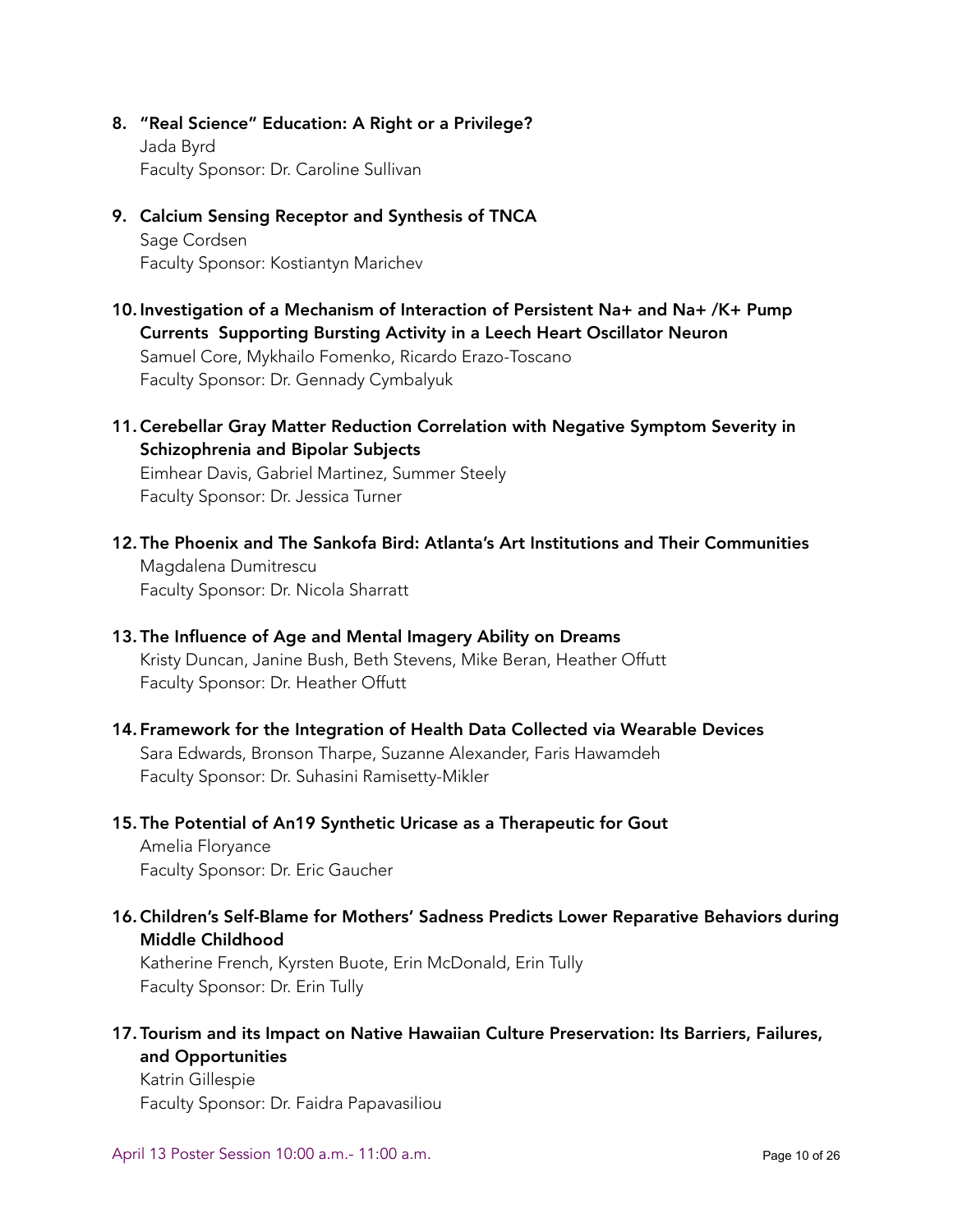8. "Real Science" Education: A Right or a Privilege? Jada Byrd

Faculty Sponsor: Dr. Caroline Sullivan

- 9. Calcium Sensing Receptor and Synthesis of TNCA Sage Cordsen Faculty Sponsor: Kostiantyn Marichev
- 10. Investigation of a Mechanism of Interaction of Persistent Na+ and Na+ /K+ Pump Currents Supporting Bursting Activity in a Leech Heart Oscillator Neuron Samuel Core, Mykhailo Fomenko, Ricardo Erazo-Toscano Faculty Sponsor: Dr. Gennady Cymbalyuk
- 11.Cerebellar Gray Matter Reduction Correlation with Negative Symptom Severity in Schizophrenia and Bipolar Subjects Eimhear Davis, Gabriel Martinez, Summer Steely

Faculty Sponsor: Dr. Jessica Turner

- 12. The Phoenix and The Sankofa Bird: Atlanta's Art Institutions and Their Communities Magdalena Dumitrescu Faculty Sponsor: Dr. Nicola Sharratt
- 13. The Influence of Age and Mental Imagery Ability on Dreams Kristy Duncan, Janine Bush, Beth Stevens, Mike Beran, Heather Offutt Faculty Sponsor: Dr. Heather Offutt
- 14. Framework for the Integration of Health Data Collected via Wearable Devices Sara Edwards, Bronson Tharpe, Suzanne Alexander, Faris Hawamdeh Faculty Sponsor: Dr. Suhasini Ramisetty-Mikler
- 15. The Potential of An19 Synthetic Uricase as a Therapeutic for Gout

Amelia Floryance Faculty Sponsor: Dr. Eric Gaucher

16.Children's Self-Blame for Mothers' Sadness Predicts Lower Reparative Behaviors during Middle Childhood

Katherine French, Kyrsten Buote, Erin McDonald, Erin Tully Faculty Sponsor: Dr. Erin Tully

17. Tourism and its Impact on Native Hawaiian Culture Preservation: Its Barriers, Failures, and Opportunities

Katrin Gillespie Faculty Sponsor: Dr. Faidra Papavasiliou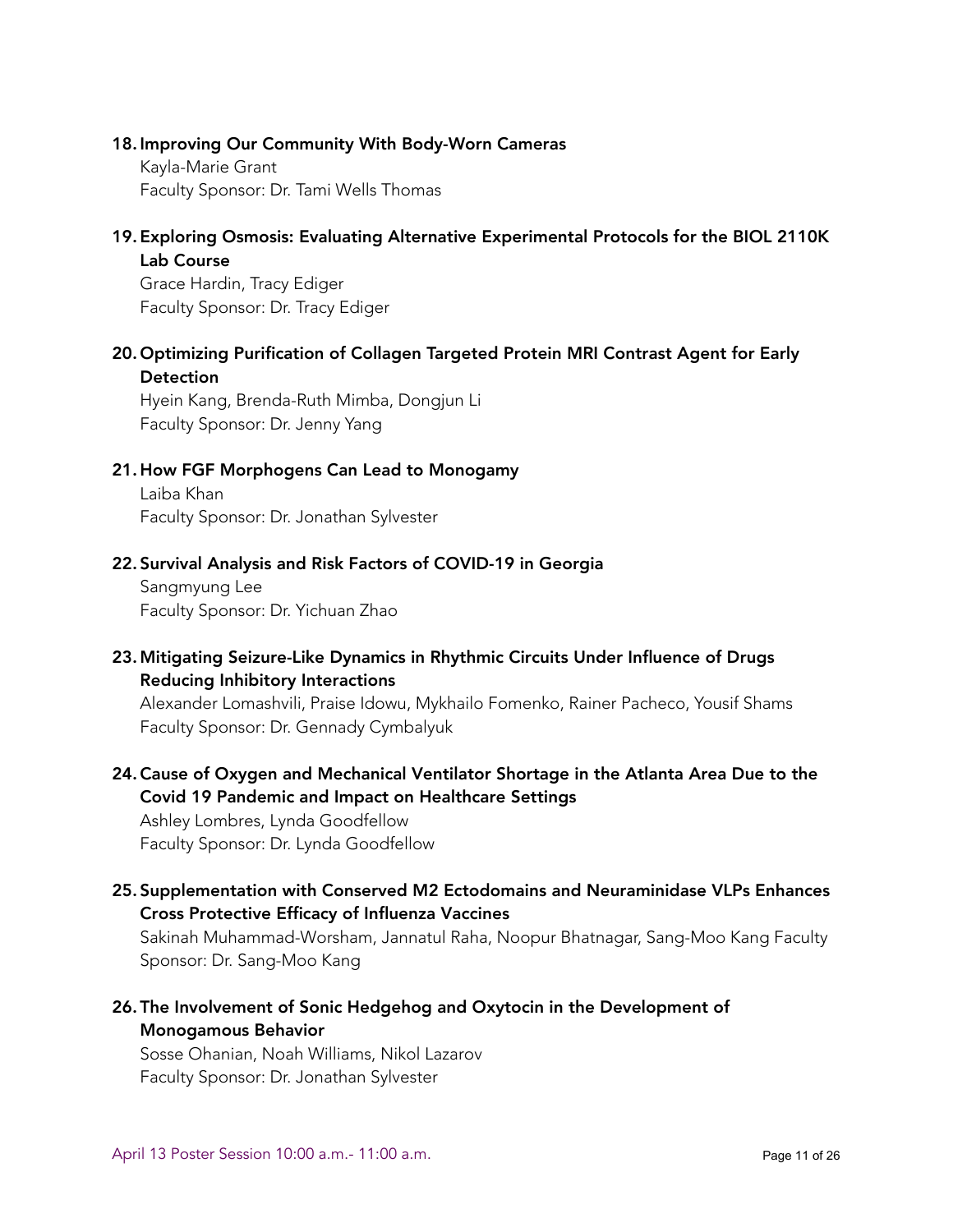#### 18. Improving Our Community With Body-Worn Cameras

Kayla-Marie Grant Faculty Sponsor: Dr. Tami Wells Thomas

#### 19. Exploring Osmosis: Evaluating Alternative Experimental Protocols for the BIOL 2110K Lab Course

Grace Hardin, Tracy Ediger Faculty Sponsor: Dr. Tracy Ediger

#### 20. Optimizing Purification of Collagen Targeted Protein MRI Contrast Agent for Early **Detection**

Hyein Kang, Brenda-Ruth Mimba, Dongjun Li Faculty Sponsor: Dr. Jenny Yang

#### 21. How FGF Morphogens Can Lead to Monogamy

Laiba Khan Faculty Sponsor: Dr. Jonathan Sylvester

#### 22. Survival Analysis and Risk Factors of COVID-19 in Georgia

Sangmyung Lee Faculty Sponsor: Dr. Yichuan Zhao

#### 23. Mitigating Seizure-Like Dynamics in Rhythmic Circuits Under Influence of Drugs Reducing Inhibitory Interactions

Alexander Lomashvili, Praise Idowu, Mykhailo Fomenko, Rainer Pacheco, Yousif Shams Faculty Sponsor: Dr. Gennady Cymbalyuk

#### 24.Cause of Oxygen and Mechanical Ventilator Shortage in the Atlanta Area Due to the Covid 19 Pandemic and Impact on Healthcare Settings

Ashley Lombres, Lynda Goodfellow Faculty Sponsor: Dr. Lynda Goodfellow

#### 25. Supplementation with Conserved M2 Ectodomains and Neuraminidase VLPs Enhances Cross Protective Efficacy of Influenza Vaccines

Sakinah Muhammad-Worsham, Jannatul Raha, Noopur Bhatnagar, Sang-Moo Kang Faculty Sponsor: Dr. Sang-Moo Kang

26. The Involvement of Sonic Hedgehog and Oxytocin in the Development of Monogamous Behavior

Sosse Ohanian, Noah Williams, Nikol Lazarov Faculty Sponsor: Dr. Jonathan Sylvester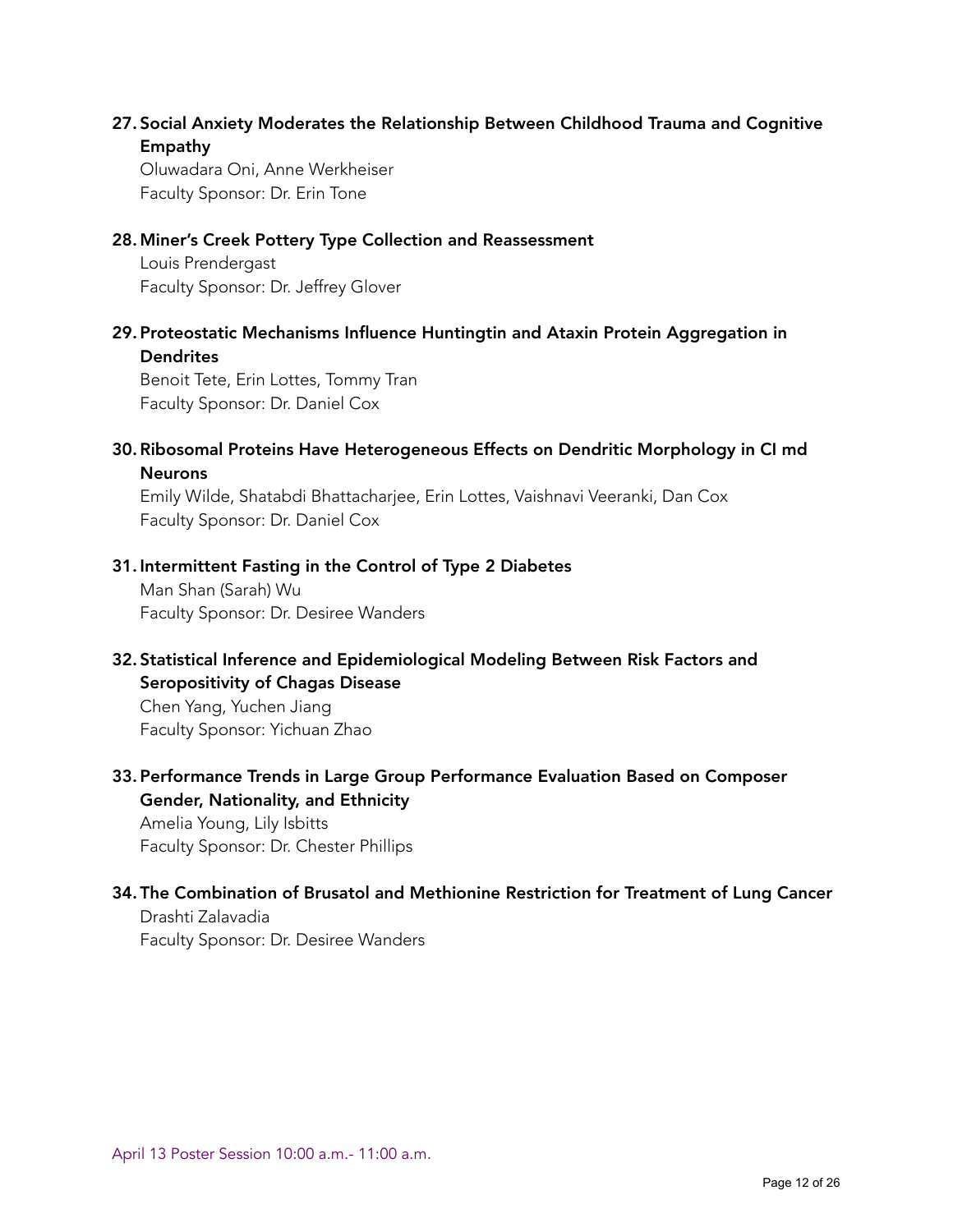#### 27. Social Anxiety Moderates the Relationship Between Childhood Trauma and Cognitive Empathy

Oluwadara Oni, Anne Werkheiser Faculty Sponsor: Dr. Erin Tone

#### 28. Miner's Creek Pottery Type Collection and Reassessment

Louis Prendergast Faculty Sponsor: Dr. Jeffrey Glover

29. Proteostatic Mechanisms Influence Huntingtin and Ataxin Protein Aggregation in **Dendrites** 

Benoit Tete, Erin Lottes, Tommy Tran Faculty Sponsor: Dr. Daniel Cox

#### 30.Ribosomal Proteins Have Heterogeneous Effects on Dendritic Morphology in CI md Neurons

Emily Wilde, Shatabdi Bhattacharjee, Erin Lottes, Vaishnavi Veeranki, Dan Cox Faculty Sponsor: Dr. Daniel Cox

#### 31. Intermittent Fasting in the Control of Type 2 Diabetes

Man Shan (Sarah) Wu Faculty Sponsor: Dr. Desiree Wanders

#### 32. Statistical Inference and Epidemiological Modeling Between Risk Factors and Seropositivity of Chagas Disease

Chen Yang, Yuchen Jiang Faculty Sponsor: Yichuan Zhao

#### 33. Performance Trends in Large Group Performance Evaluation Based on Composer Gender, Nationality, and Ethnicity

Amelia Young, Lily Isbitts Faculty Sponsor: Dr. Chester Phillips

### 34. The Combination of Brusatol and Methionine Restriction for Treatment of Lung Cancer

Drashti Zalavadia Faculty Sponsor: Dr. Desiree Wanders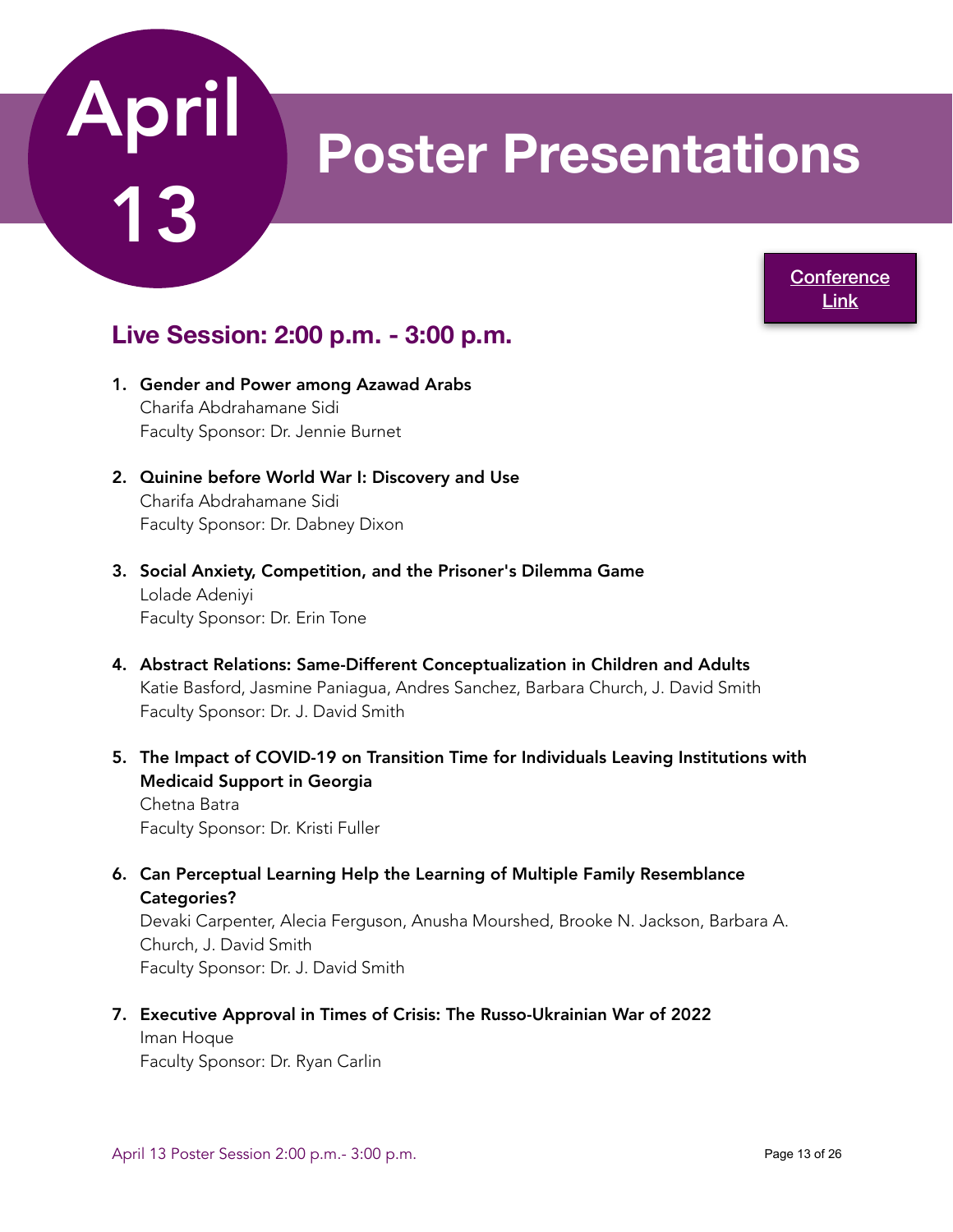## **Poster Presentations**

**Conference** [Link](https://www.acadiate.com//ee/GSURC/2PM_Poster_Session)

### **Live Session: 2:00 p.m. - 3:00 p.m.**

- 1. Gender and Power among Azawad Arabs Charifa Abdrahamane Sidi Faculty Sponsor: Dr. Jennie Burnet
- 2. Quinine before World War I: Discovery and Use Charifa Abdrahamane Sidi Faculty Sponsor: Dr. Dabney Dixon
- 3. Social Anxiety, Competition, and the Prisoner's Dilemma Game Lolade Adeniyi Faculty Sponsor: Dr. Erin Tone
- 4. Abstract Relations: Same-Different Conceptualization in Children and Adults Katie Basford, Jasmine Paniagua, Andres Sanchez, Barbara Church, J. David Smith Faculty Sponsor: Dr. J. David Smith
- 5. The Impact of COVID-19 on Transition Time for Individuals Leaving Institutions with Medicaid Support in Georgia

Chetna Batra Faculty Sponsor: Dr. Kristi Fuller

6. Can Perceptual Learning Help the Learning of Multiple Family Resemblance Categories?

Devaki Carpenter, Alecia Ferguson, Anusha Mourshed, Brooke N. Jackson, Barbara A. Church, J. David Smith Faculty Sponsor: Dr. J. David Smith

7. Executive Approval in Times of Crisis: The Russo-Ukrainian War of 2022 Iman Hoque

Faculty Sponsor: Dr. Ryan Carlin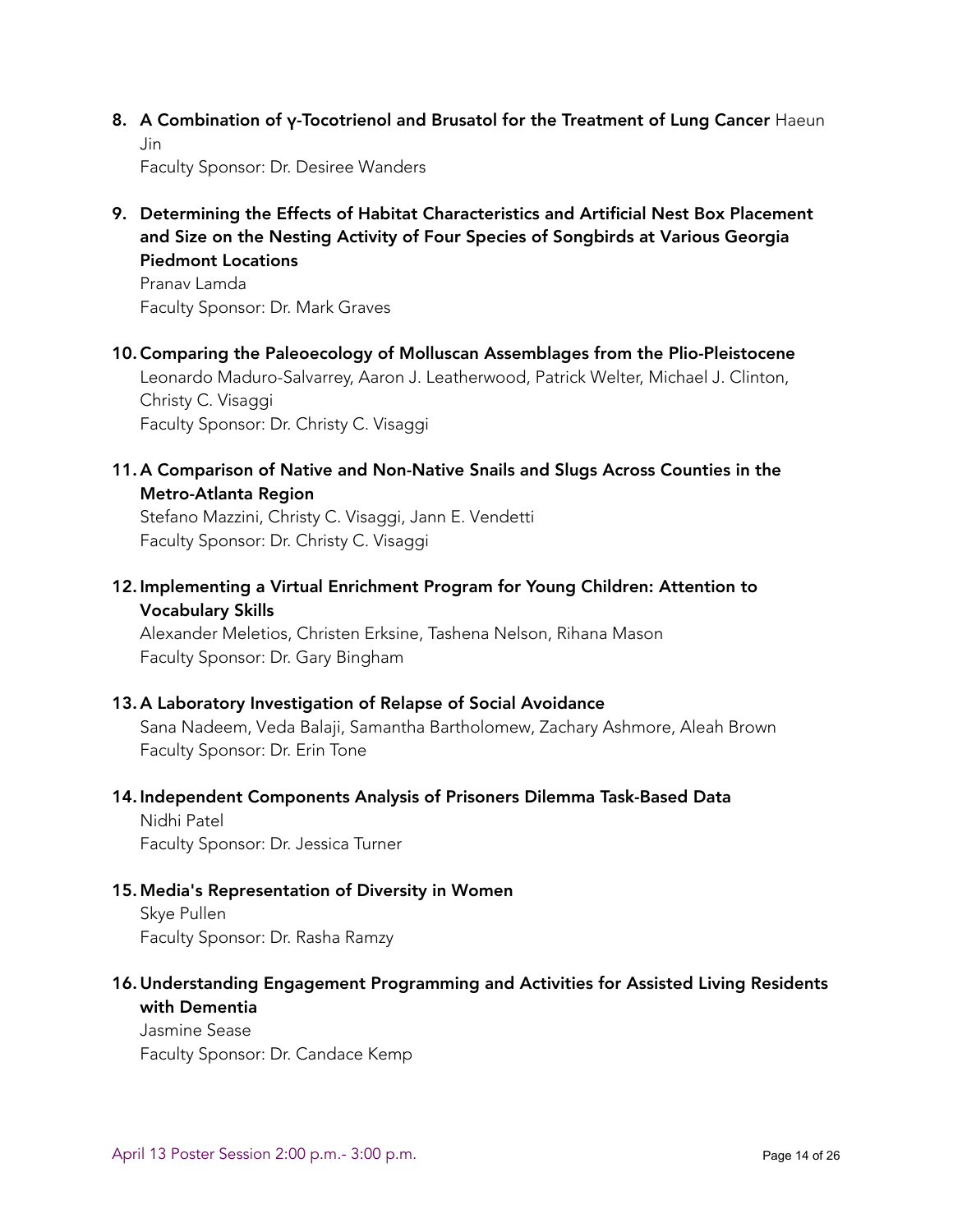8. A Combination of γ-Tocotrienol and Brusatol for the Treatment of Lung Cancer Haeun Jin

Faculty Sponsor: Dr. Desiree Wanders

9. Determining the Effects of Habitat Characteristics and Artificial Nest Box Placement and Size on the Nesting Activity of Four Species of Songbirds at Various Georgia Piedmont Locations

Pranav Lamda Faculty Sponsor: Dr. Mark Graves

10.Comparing the Paleoecology of Molluscan Assemblages from the Plio-Pleistocene Leonardo Maduro-Salvarrey, Aaron J. Leatherwood, Patrick Welter, Michael J. Clinton, Christy C. Visaggi Faculty Sponsor: Dr. Christy C. Visaggi

11. A Comparison of Native and Non-Native Snails and Slugs Across Counties in the Metro-Atlanta Region

Stefano Mazzini, Christy C. Visaggi, Jann E. Vendetti Faculty Sponsor: Dr. Christy C. Visaggi

12. Implementing a Virtual Enrichment Program for Young Children: Attention to Vocabulary Skills

Alexander Meletios, Christen Erksine, Tashena Nelson, Rihana Mason Faculty Sponsor: Dr. Gary Bingham

#### 13. A Laboratory Investigation of Relapse of Social Avoidance

Sana Nadeem, Veda Balaji, Samantha Bartholomew, Zachary Ashmore, Aleah Brown Faculty Sponsor: Dr. Erin Tone

#### 14. Independent Components Analysis of Prisoners Dilemma Task-Based Data

Nidhi Patel Faculty Sponsor: Dr. Jessica Turner

#### 15. Media's Representation of Diversity in Women

Skye Pullen Faculty Sponsor: Dr. Rasha Ramzy

#### 16. Understanding Engagement Programming and Activities for Assisted Living Residents with Dementia

Jasmine Sease Faculty Sponsor: Dr. Candace Kemp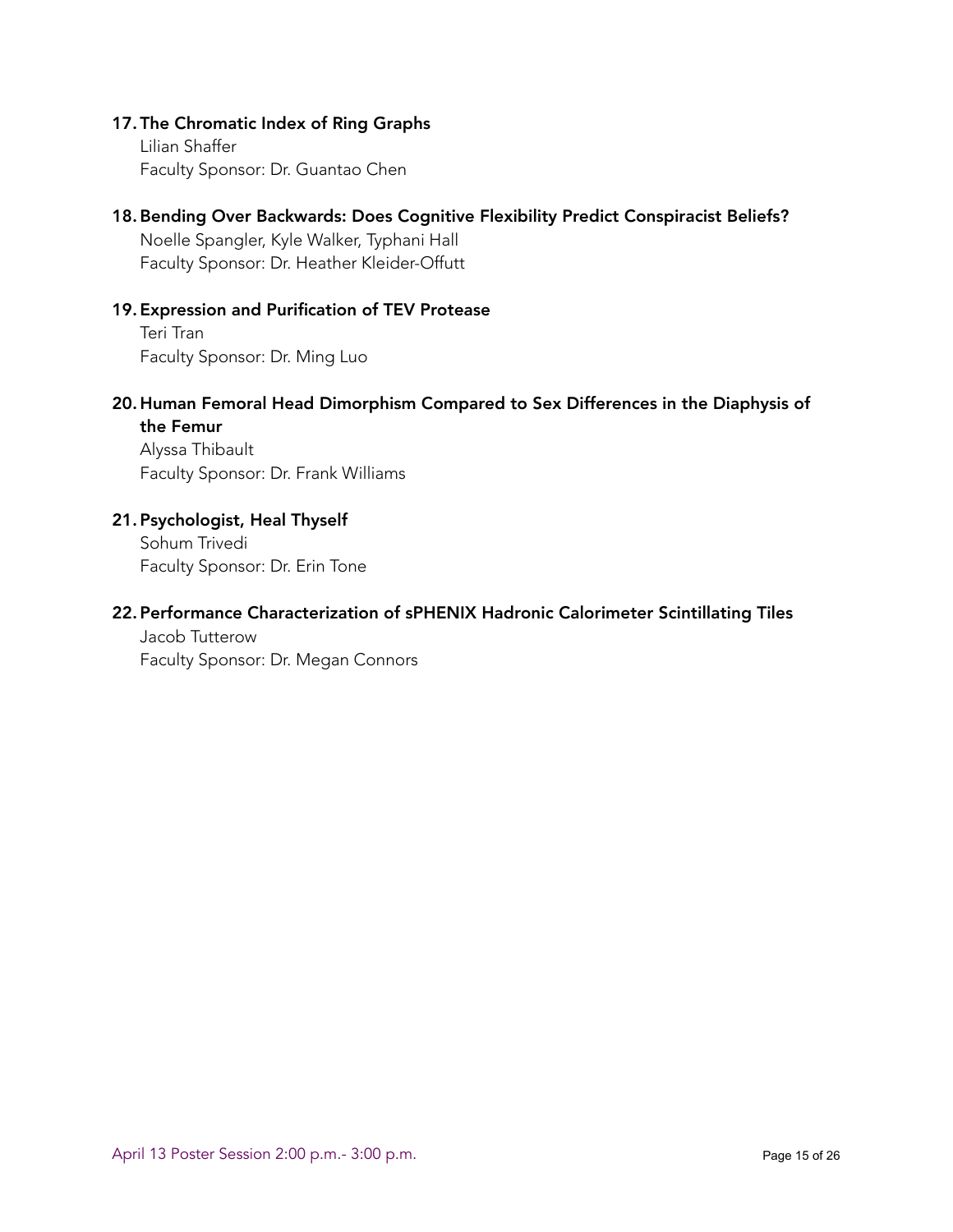#### 17. The Chromatic Index of Ring Graphs

Lilian Shaffer Faculty Sponsor: Dr. Guantao Chen

#### 18.Bending Over Backwards: Does Cognitive Flexibility Predict Conspiracist Beliefs?

Noelle Spangler, Kyle Walker, Typhani Hall Faculty Sponsor: Dr. Heather Kleider-Offutt

#### 19. Expression and Purification of TEV Protease

Teri Tran Faculty Sponsor: Dr. Ming Luo

#### 20. Human Femoral Head Dimorphism Compared to Sex Differences in the Diaphysis of the Femur

Alyssa Thibault Faculty Sponsor: Dr. Frank Williams

#### 21. Psychologist, Heal Thyself

Sohum Trivedi Faculty Sponsor: Dr. Erin Tone

#### 22. Performance Characterization of sPHENIX Hadronic Calorimeter Scintillating Tiles

Jacob Tutterow Faculty Sponsor: Dr. Megan Connors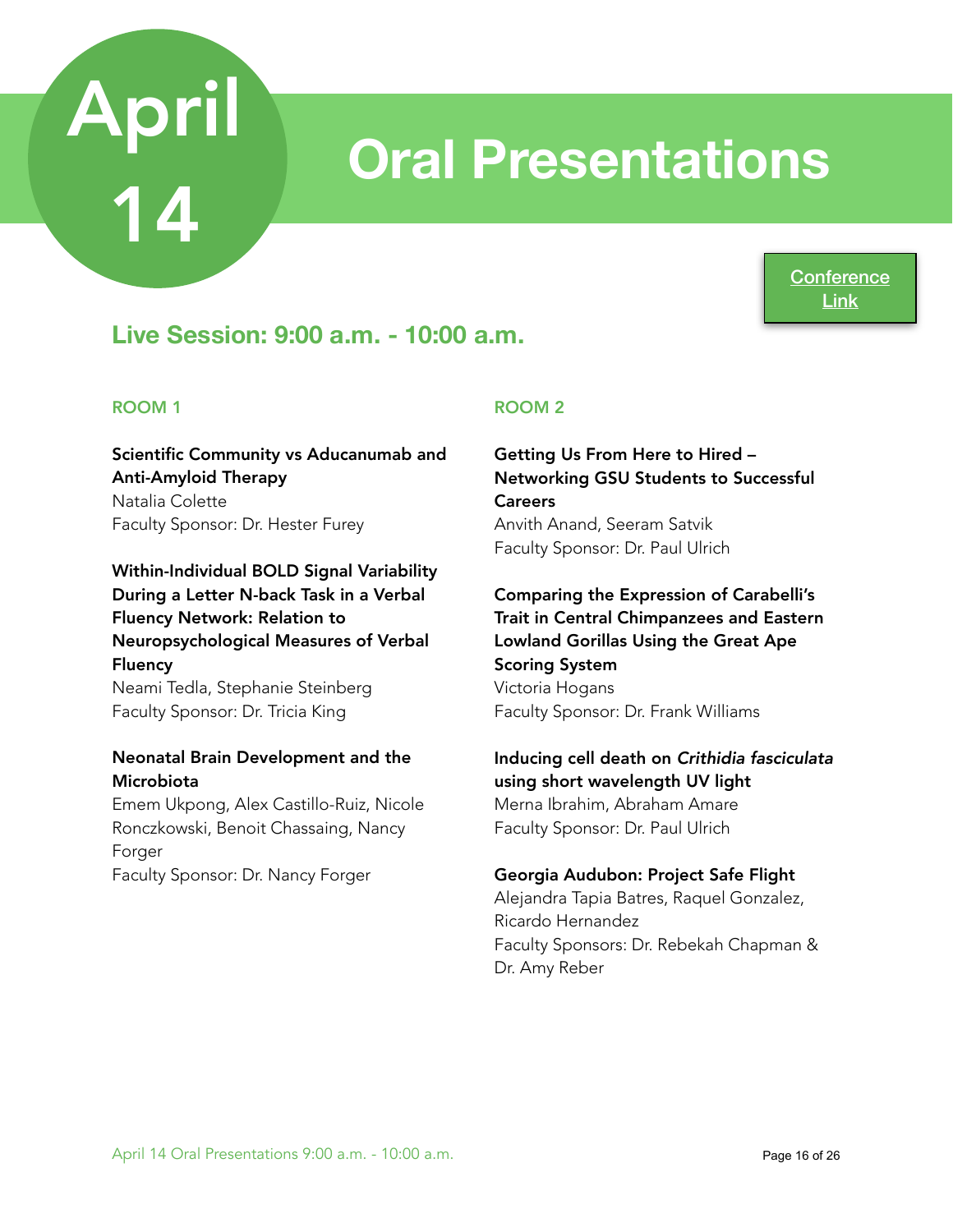## **Oral Presentations**

**Conference** [Link](https://www.acadiate.com//ee/GSURC/Morning_Session_A_-_9AM3)

## **Live Session: 9:00 a.m. - 10:00 a.m.**

#### ROOM 1

Scientific Community vs Aducanumab and Anti-Amyloid Therapy Natalia Colette Faculty Sponsor: Dr. Hester Furey

#### Within-Individual BOLD Signal Variability During a Letter N-back Task in a Verbal Fluency Network: Relation to Neuropsychological Measures of Verbal Fluency

Neami Tedla, Stephanie Steinberg Faculty Sponsor: Dr. Tricia King

#### Neonatal Brain Development and the Microbiota

Emem Ukpong, Alex Castillo-Ruiz, Nicole Ronczkowski, Benoit Chassaing, Nancy Forger Faculty Sponsor: Dr. Nancy Forger

#### ROOM 2

Getting Us From Here to Hired – Networking GSU Students to Successful **Careers** Anvith Anand, Seeram Satvik Faculty Sponsor: Dr. Paul Ulrich

Comparing the Expression of Carabelli's Trait in Central Chimpanzees and Eastern Lowland Gorillas Using the Great Ape Scoring System Victoria Hogans Faculty Sponsor: Dr. Frank Williams

Inducing cell death on *Crithidia fasciculata* using short wavelength UV light Merna Ibrahim, Abraham Amare Faculty Sponsor: Dr. Paul Ulrich

#### Georgia Audubon: Project Safe Flight

Alejandra Tapia Batres, Raquel Gonzalez, Ricardo Hernandez Faculty Sponsors: Dr. Rebekah Chapman & Dr. Amy Reber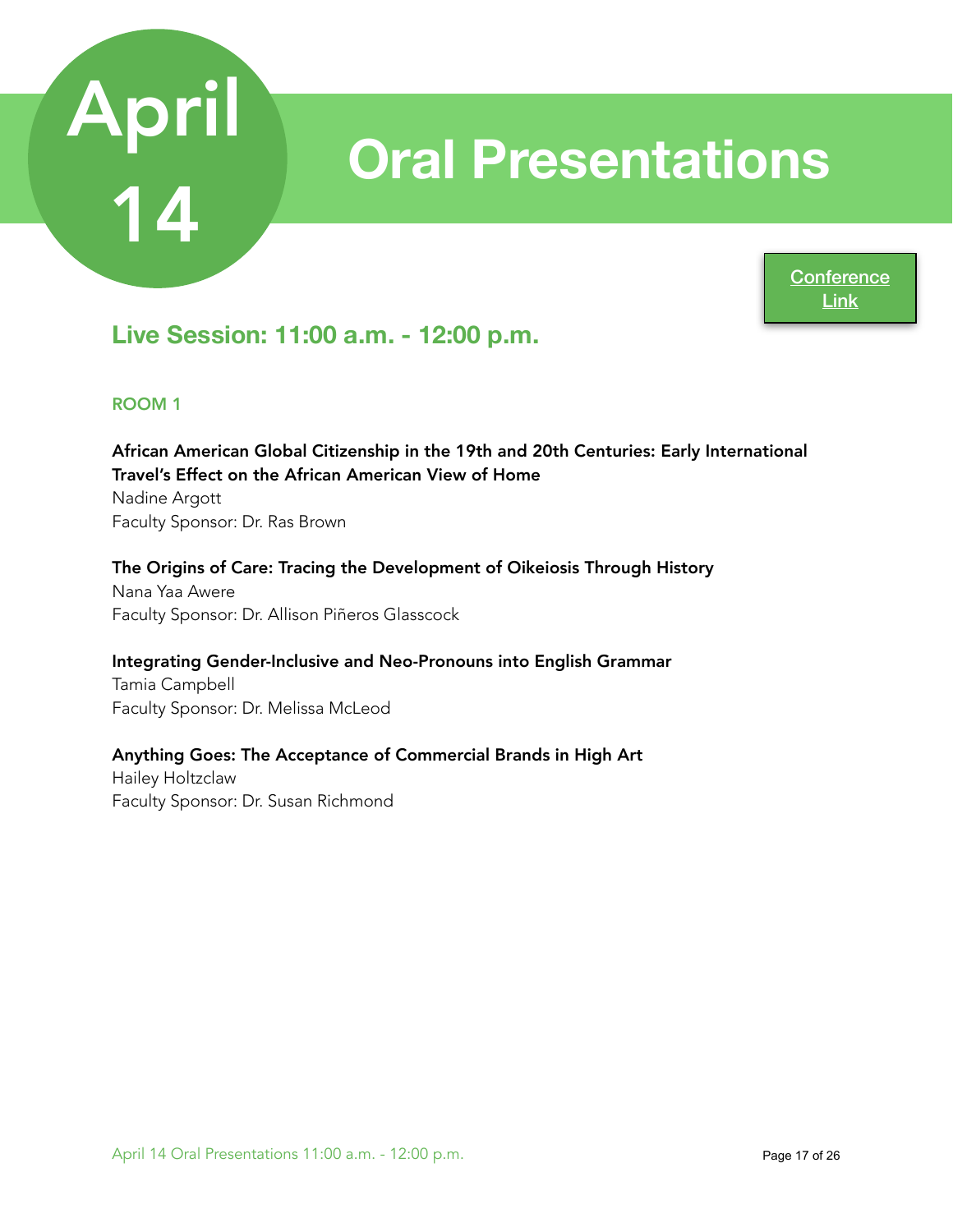

## **Oral Presentations**

**Conference** [Link](https://www.acadiate.com//ee/GSURC/Morning_Session_B_-_11AM3)

### **Live Session: 11:00 a.m. - 12:00 p.m.**

#### ROOM 1

African American Global Citizenship in the 19th and 20th Centuries: Early International Travel's Effect on the African American View of Home Nadine Argott

Faculty Sponsor: Dr. Ras Brown

#### The Origins of Care: Tracing the Development of Oikeiosis Through History

Nana Yaa Awere Faculty Sponsor: Dr. Allison Piñeros Glasscock

#### Integrating Gender-Inclusive and Neo-Pronouns into English Grammar

Tamia Campbell Faculty Sponsor: Dr. Melissa McLeod

#### Anything Goes: The Acceptance of Commercial Brands in High Art

Hailey Holtzclaw Faculty Sponsor: Dr. Susan Richmond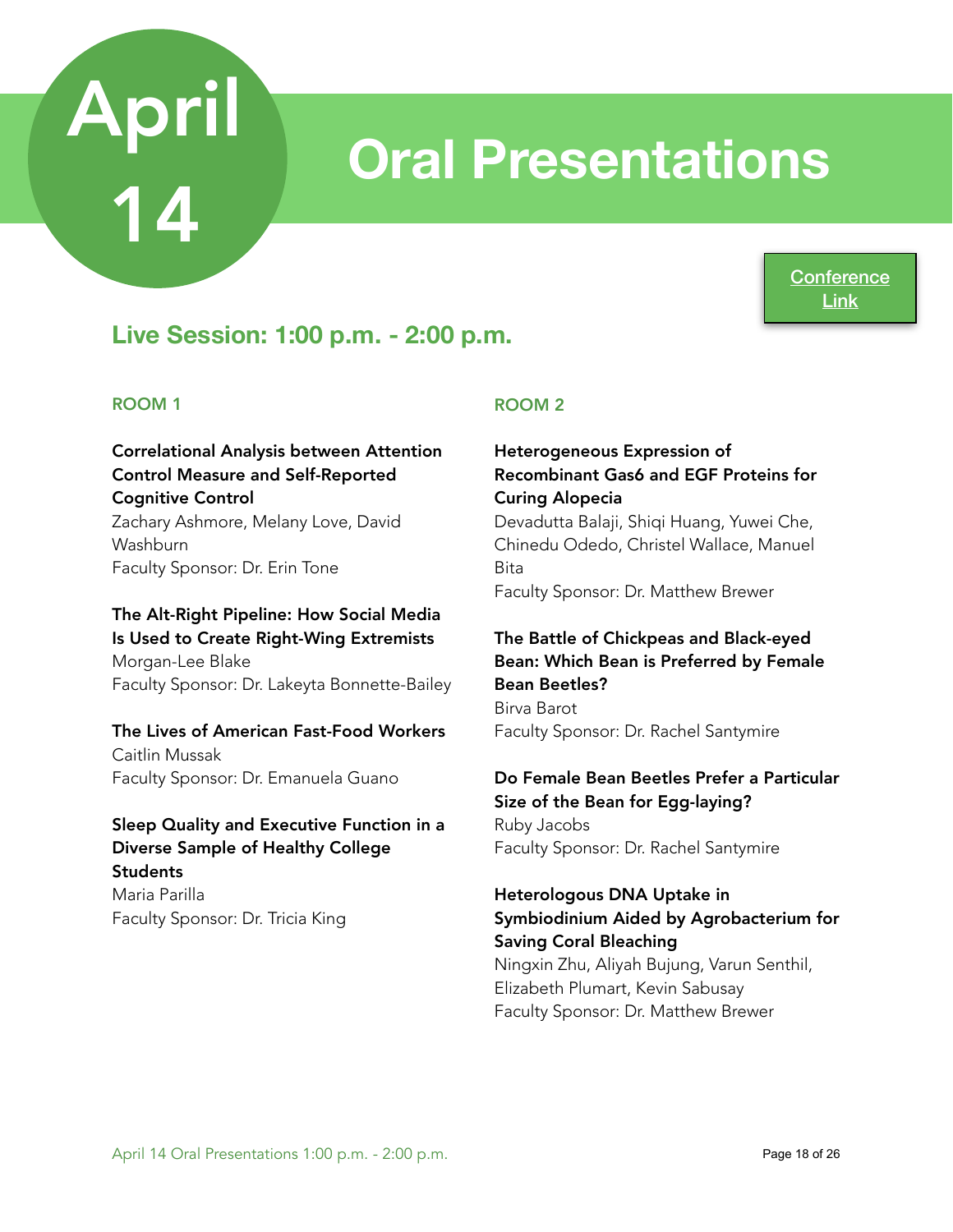## **Oral Presentations**

**Conference** [Link](https://www.acadiate.com//ee/GSURC/Afternoon_Session_A_-_1PM3)

### **Live Session: 1:00 p.m. - 2:00 p.m.**

#### ROOM 1

#### Correlational Analysis between Attention Control Measure and Self-Reported Cognitive Control Zachary Ashmore, Melany Love, David Washburn

Faculty Sponsor: Dr. Erin Tone

#### The Alt-Right Pipeline: How Social Media Is Used to Create Right-Wing Extremists Morgan-Lee Blake Faculty Sponsor: Dr. Lakeyta Bonnette-Bailey

#### The Lives of American Fast-Food Workers

Caitlin Mussak Faculty Sponsor: Dr. Emanuela Guano

#### Sleep Quality and Executive Function in a Diverse Sample of Healthy College **Students** Maria Parilla

Faculty Sponsor: Dr. Tricia King

#### ROOM 2

#### Heterogeneous Expression of Recombinant Gas6 and EGF Proteins for Curing Alopecia

Devadutta Balaji, Shiqi Huang, Yuwei Che, Chinedu Odedo, Christel Wallace, Manuel Bita Faculty Sponsor: Dr. Matthew Brewer

#### The Battle of Chickpeas and Black-eyed Bean: Which Bean is Preferred by Female Bean Beetles?

Birva Barot Faculty Sponsor: Dr. Rachel Santymire

#### Do Female Bean Beetles Prefer a Particular Size of the Bean for Egg-laying?

Ruby Jacobs Faculty Sponsor: Dr. Rachel Santymire

#### Heterologous DNA Uptake in Symbiodinium Aided by Agrobacterium for Saving Coral Bleaching

Ningxin Zhu, Aliyah Bujung, Varun Senthil, Elizabeth Plumart, Kevin Sabusay Faculty Sponsor: Dr. Matthew Brewer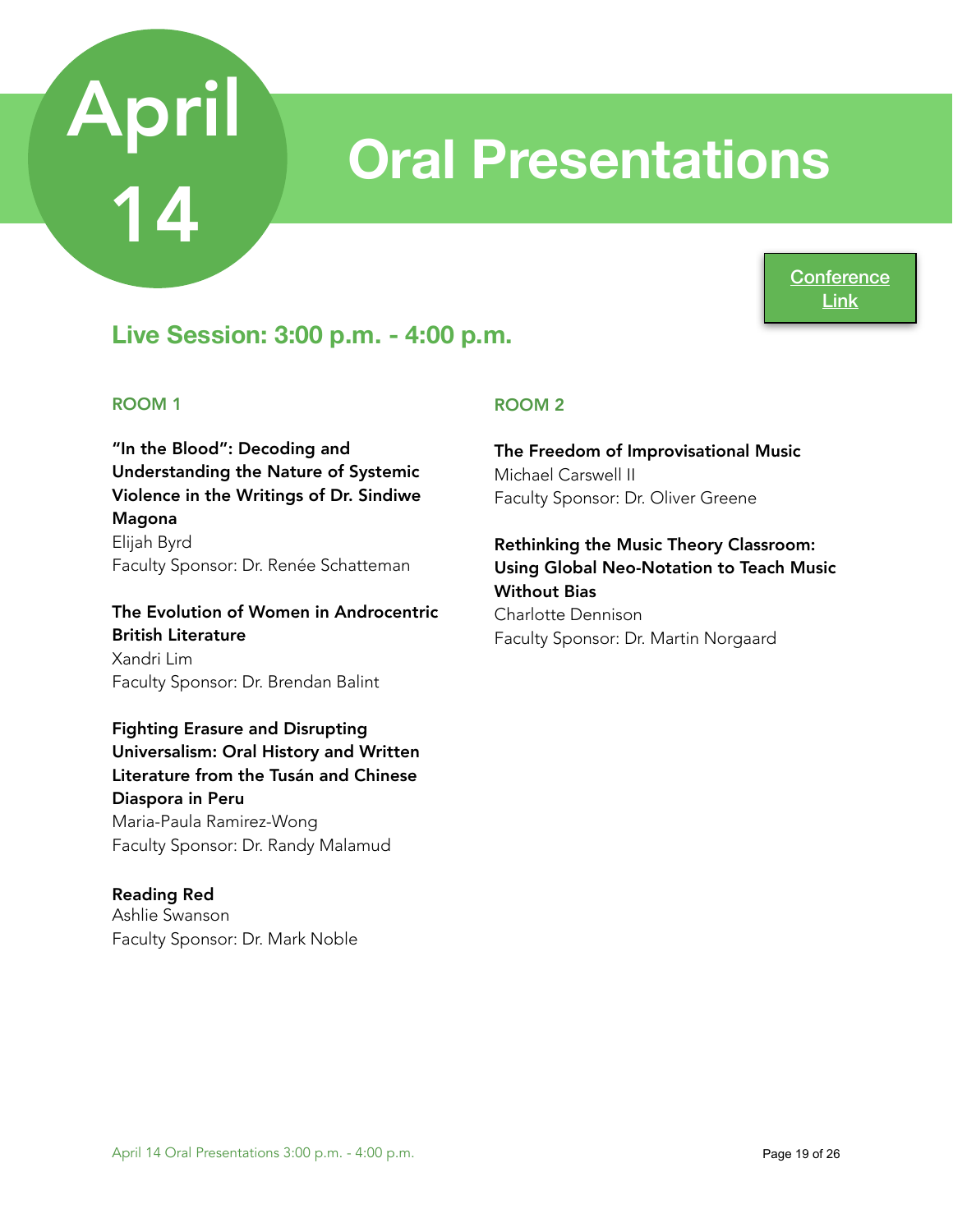## **Oral Presentations**

**Conference** [Link](https://www.acadiate.com//ee/GSURC/Afternoon_Session_B_-_3PM3)

### **Live Session: 3:00 p.m. - 4:00 p.m.**

#### ROOM 1

"In the Blood": Decoding and Understanding the Nature of Systemic Violence in the Writings of Dr. Sindiwe Magona Elijah Byrd

Faculty Sponsor: Dr. Renée Schatteman

The Evolution of Women in Androcentric British Literature Xandri Lim Faculty Sponsor: Dr. Brendan Balint

#### Fighting Erasure and Disrupting

Universalism: Oral History and Written Literature from the Tusán and Chinese Diaspora in Peru Maria-Paula Ramirez-Wong Faculty Sponsor: Dr. Randy Malamud

#### Reading Red

Ashlie Swanson Faculty Sponsor: Dr. Mark Noble

#### ROOM 2

The Freedom of Improvisational Music Michael Carswell II Faculty Sponsor: Dr. Oliver Greene

Rethinking the Music Theory Classroom: Using Global Neo-Notation to Teach Music Without Bias Charlotte Dennison Faculty Sponsor: Dr. Martin Norgaard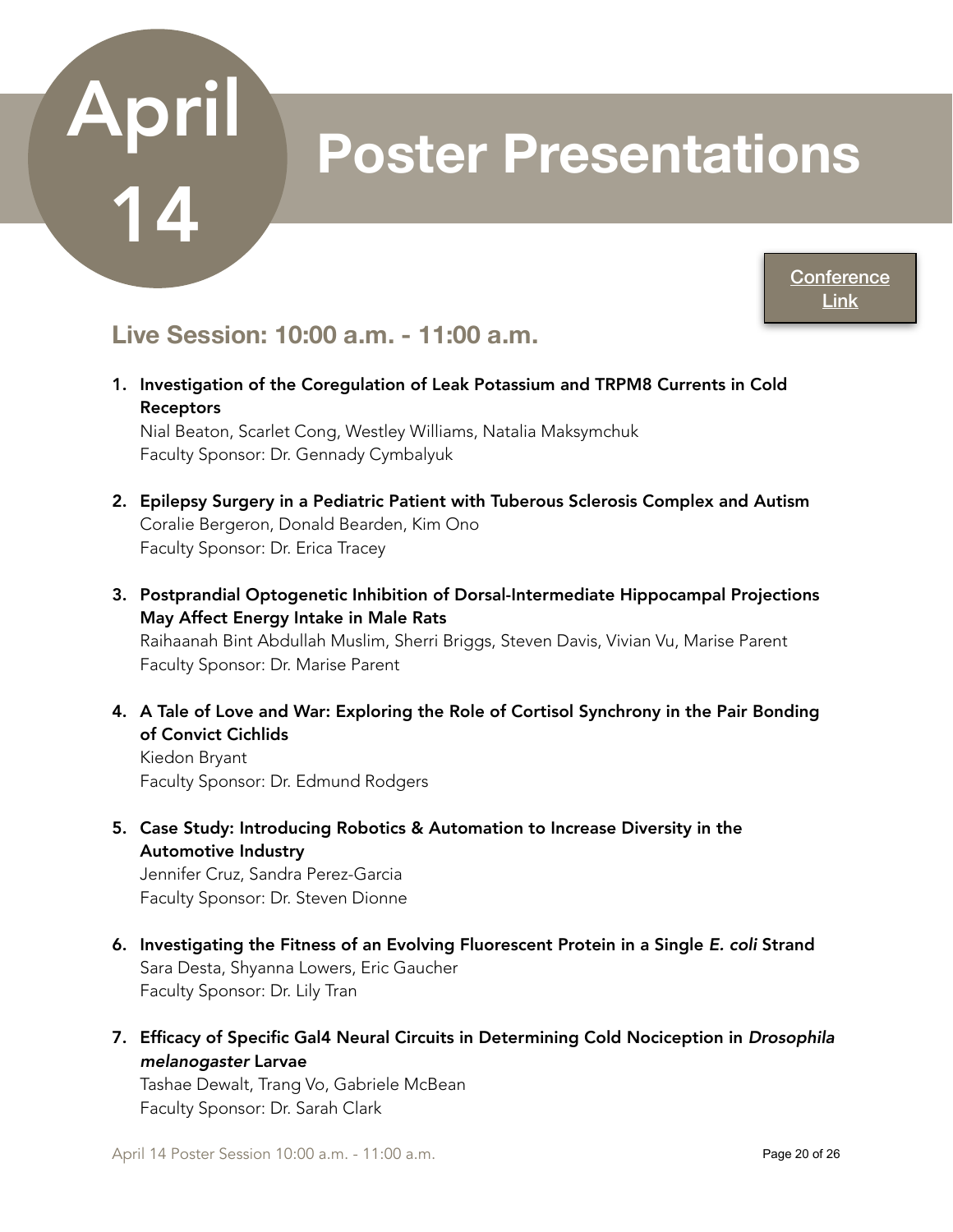## **Poster Presentations**

**Conference** [Link](https://www.acadiate.com//ee/GSURC/10AM_Poster_Session3)

### **Live Session: 10:00 a.m. - 11:00 a.m.**

1. Investigation of the Coregulation of Leak Potassium and TRPM8 Currents in Cold Receptors

Nial Beaton, Scarlet Cong, Westley Williams, Natalia Maksymchuk Faculty Sponsor: Dr. Gennady Cymbalyuk

- 2. Epilepsy Surgery in a Pediatric Patient with Tuberous Sclerosis Complex and Autism Coralie Bergeron, Donald Bearden, Kim Ono Faculty Sponsor: Dr. Erica Tracey
- 3. Postprandial Optogenetic Inhibition of Dorsal-Intermediate Hippocampal Projections May Affect Energy Intake in Male Rats Raihaanah Bint Abdullah Muslim, Sherri Briggs, Steven Davis, Vivian Vu, Marise Parent Faculty Sponsor: Dr. Marise Parent
- 4. A Tale of Love and War: Exploring the Role of Cortisol Synchrony in the Pair Bonding of Convict Cichlids

Kiedon Bryant Faculty Sponsor: Dr. Edmund Rodgers

5. Case Study: Introducing Robotics & Automation to Increase Diversity in the Automotive Industry

Jennifer Cruz, Sandra Perez-Garcia Faculty Sponsor: Dr. Steven Dionne

- 6. Investigating the Fitness of an Evolving Fluorescent Protein in a Single *E. coli* Strand Sara Desta, Shyanna Lowers, Eric Gaucher Faculty Sponsor: Dr. Lily Tran
- 7. Efficacy of Specific Gal4 Neural Circuits in Determining Cold Nociception in *Drosophila melanogaster* Larvae

Tashae Dewalt, Trang Vo, Gabriele McBean Faculty Sponsor: Dr. Sarah Clark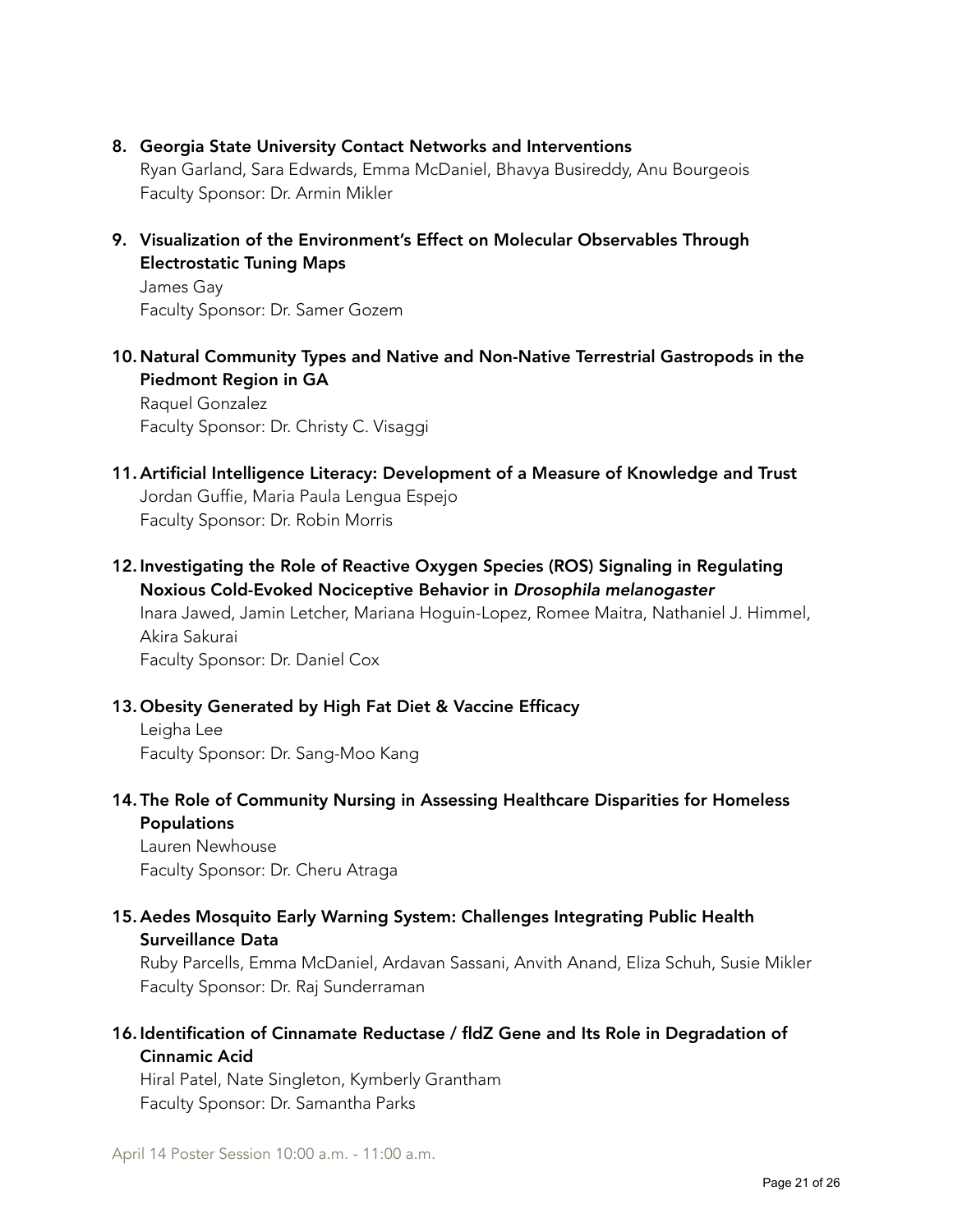8. Georgia State University Contact Networks and Interventions

Ryan Garland, Sara Edwards, Emma McDaniel, Bhavya Busireddy, Anu Bourgeois Faculty Sponsor: Dr. Armin Mikler

9. Visualization of the Environment's Effect on Molecular Observables Through Electrostatic Tuning Maps

James Gay Faculty Sponsor: Dr. Samer Gozem

10.Natural Community Types and Native and Non-Native Terrestrial Gastropods in the Piedmont Region in GA Raquel Gonzalez

Faculty Sponsor: Dr. Christy C. Visaggi

- 11. Artificial Intelligence Literacy: Development of a Measure of Knowledge and Trust Jordan Guffie, Maria Paula Lengua Espejo Faculty Sponsor: Dr. Robin Morris
- 12. Investigating the Role of Reactive Oxygen Species (ROS) Signaling in Regulating Noxious Cold-Evoked Nociceptive Behavior in *Drosophila melanogaster* Inara Jawed, Jamin Letcher, Mariana Hoguin-Lopez, Romee Maitra, Nathaniel J. Himmel, Akira Sakurai Faculty Sponsor: Dr. Daniel Cox

#### 13. Obesity Generated by High Fat Diet & Vaccine Efficacy

Leigha Lee Faculty Sponsor: Dr. Sang-Moo Kang

14. The Role of Community Nursing in Assessing Healthcare Disparities for Homeless Populations

Lauren Newhouse Faculty Sponsor: Dr. Cheru Atraga

#### 15. Aedes Mosquito Early Warning System: Challenges Integrating Public Health Surveillance Data

Ruby Parcells, Emma McDaniel, Ardavan Sassani, Anvith Anand, Eliza Schuh, Susie Mikler Faculty Sponsor: Dr. Raj Sunderraman

#### 16. Identification of Cinnamate Reductase / fldZ Gene and Its Role in Degradation of Cinnamic Acid

Hiral Patel, Nate Singleton, Kymberly Grantham Faculty Sponsor: Dr. Samantha Parks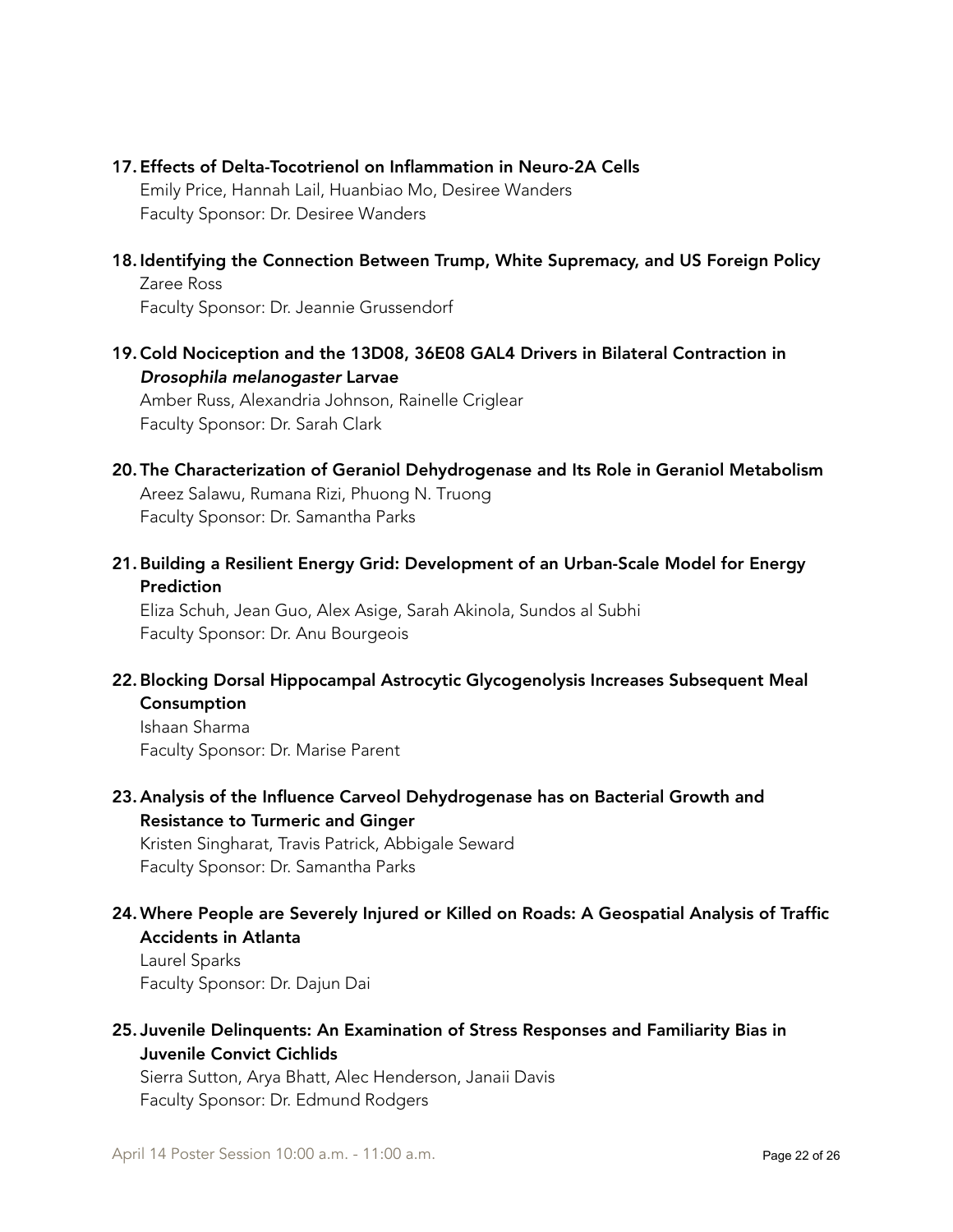#### 17. Effects of Delta-Tocotrienol on Inflammation in Neuro-2A Cells

Emily Price, Hannah Lail, Huanbiao Mo, Desiree Wanders Faculty Sponsor: Dr. Desiree Wanders

18. Identifying the Connection Between Trump, White Supremacy, and US Foreign Policy Zaree Ross

Faculty Sponsor: Dr. Jeannie Grussendorf

19.Cold Nociception and the 13D08, 36E08 GAL4 Drivers in Bilateral Contraction in *Drosophila melanogaster* Larvae

Amber Russ, Alexandria Johnson, Rainelle Criglear Faculty Sponsor: Dr. Sarah Clark

- 20. The Characterization of Geraniol Dehydrogenase and Its Role in Geraniol Metabolism Areez Salawu, Rumana Rizi, Phuong N. Truong Faculty Sponsor: Dr. Samantha Parks
- 21.Building a Resilient Energy Grid: Development of an Urban-Scale Model for Energy Prediction

Eliza Schuh, Jean Guo, Alex Asige, Sarah Akinola, Sundos al Subhi Faculty Sponsor: Dr. Anu Bourgeois

22.Blocking Dorsal Hippocampal Astrocytic Glycogenolysis Increases Subsequent Meal **Consumption** 

Ishaan Sharma Faculty Sponsor: Dr. Marise Parent

23. Analysis of the Influence Carveol Dehydrogenase has on Bacterial Growth and Resistance to Turmeric and Ginger

Kristen Singharat, Travis Patrick, Abbigale Seward Faculty Sponsor: Dr. Samantha Parks

24.Where People are Severely Injured or Killed on Roads: A Geospatial Analysis of Traffic Accidents in Atlanta

Laurel Sparks Faculty Sponsor: Dr. Dajun Dai

25. Juvenile Delinquents: An Examination of Stress Responses and Familiarity Bias in Juvenile Convict Cichlids

Sierra Sutton, Arya Bhatt, Alec Henderson, Janaii Davis Faculty Sponsor: Dr. Edmund Rodgers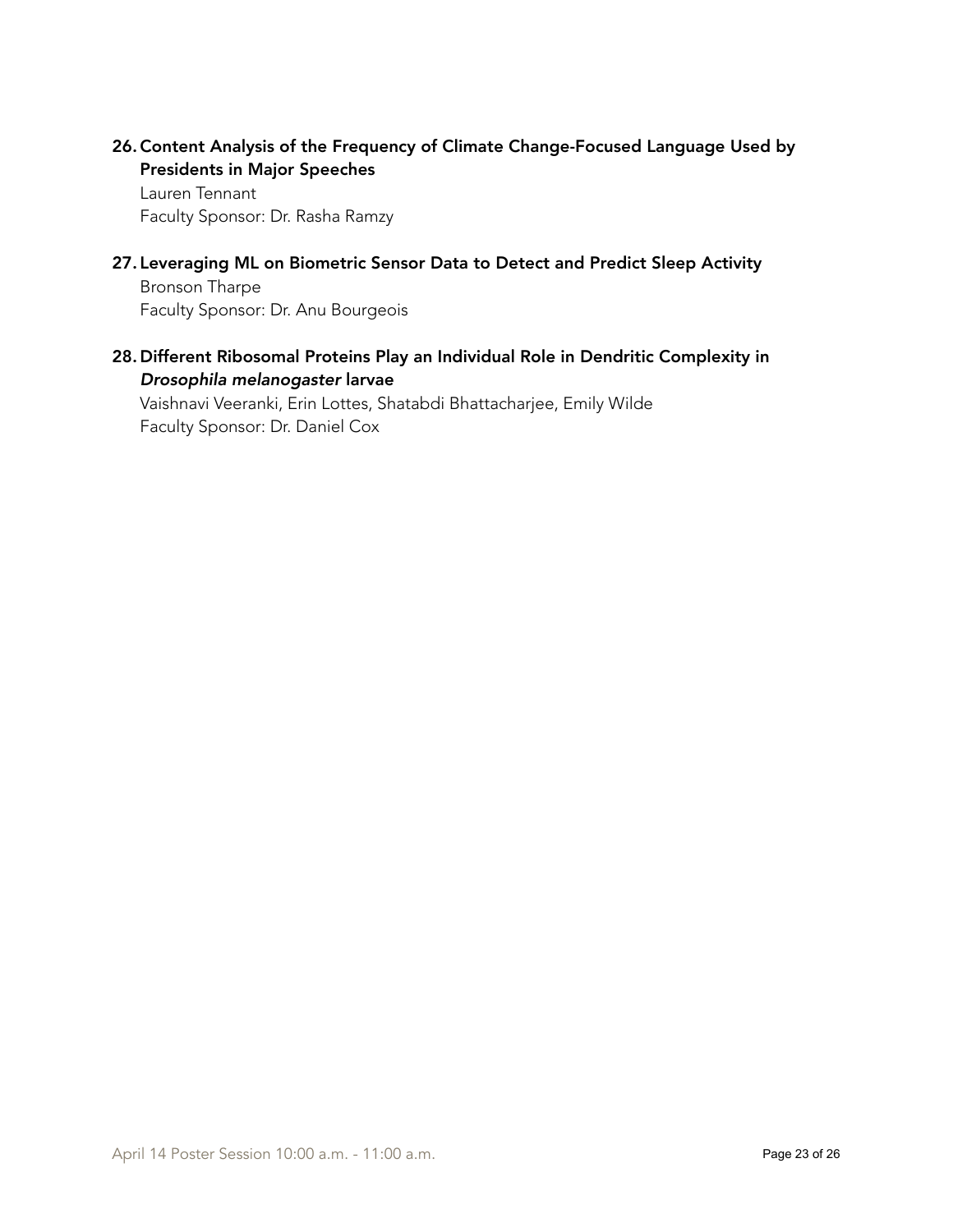26.Content Analysis of the Frequency of Climate Change-Focused Language Used by Presidents in Major Speeches

Lauren Tennant Faculty Sponsor: Dr. Rasha Ramzy

27. Leveraging ML on Biometric Sensor Data to Detect and Predict Sleep Activity

Bronson Tharpe Faculty Sponsor: Dr. Anu Bourgeois

28. Different Ribosomal Proteins Play an Individual Role in Dendritic Complexity in *Drosophila melanogaster* larvae

Vaishnavi Veeranki, Erin Lottes, Shatabdi Bhattacharjee, Emily Wilde Faculty Sponsor: Dr. Daniel Cox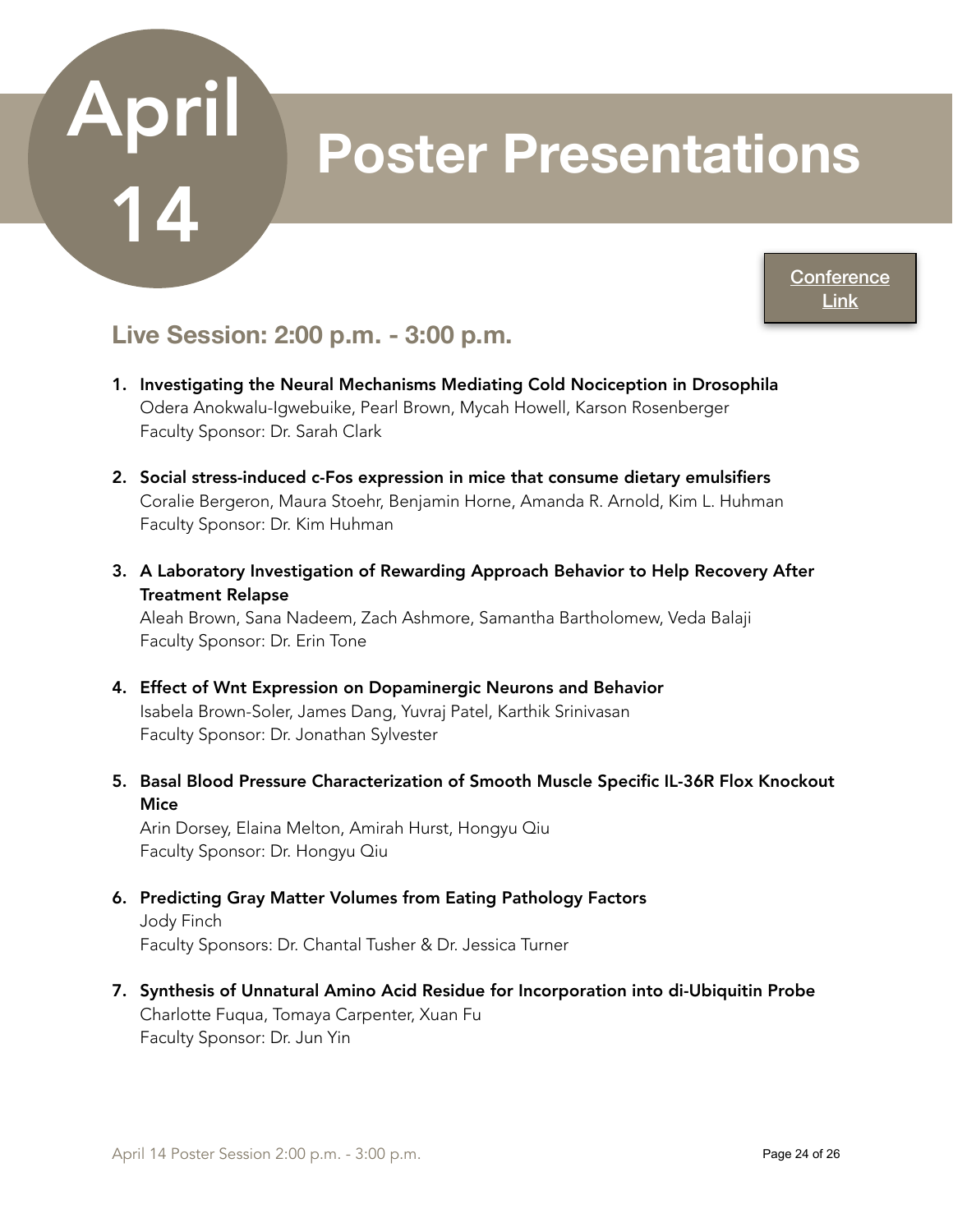## **Poster Presentations**

**Conference** [Link](https://www.acadiate.com//ee/GSURC/2PM_Poster_Session3)

### **Live Session: 2:00 p.m. - 3:00 p.m.**

- 1. Investigating the Neural Mechanisms Mediating Cold Nociception in Drosophila Odera Anokwalu-Igwebuike, Pearl Brown, Mycah Howell, Karson Rosenberger Faculty Sponsor: Dr. Sarah Clark
- 2. Social stress-induced c-Fos expression in mice that consume dietary emulsifiers Coralie Bergeron, Maura Stoehr, Benjamin Horne, Amanda R. Arnold, Kim L. Huhman Faculty Sponsor: Dr. Kim Huhman
- 3. A Laboratory Investigation of Rewarding Approach Behavior to Help Recovery After Treatment Relapse

Aleah Brown, Sana Nadeem, Zach Ashmore, Samantha Bartholomew, Veda Balaji Faculty Sponsor: Dr. Erin Tone

- 4. Effect of Wnt Expression on Dopaminergic Neurons and Behavior Isabela Brown-Soler, James Dang, Yuvraj Patel, Karthik Srinivasan Faculty Sponsor: Dr. Jonathan Sylvester
- 5. Basal Blood Pressure Characterization of Smooth Muscle Specific IL-36R Flox Knockout **Mice**

Arin Dorsey, Elaina Melton, Amirah Hurst, Hongyu Qiu Faculty Sponsor: Dr. Hongyu Qiu

- 6. Predicting Gray Matter Volumes from Eating Pathology Factors Jody Finch Faculty Sponsors: Dr. Chantal Tusher & Dr. Jessica Turner
- 7. Synthesis of Unnatural Amino Acid Residue for Incorporation into di-Ubiquitin Probe Charlotte Fuqua, Tomaya Carpenter, Xuan Fu Faculty Sponsor: Dr. Jun Yin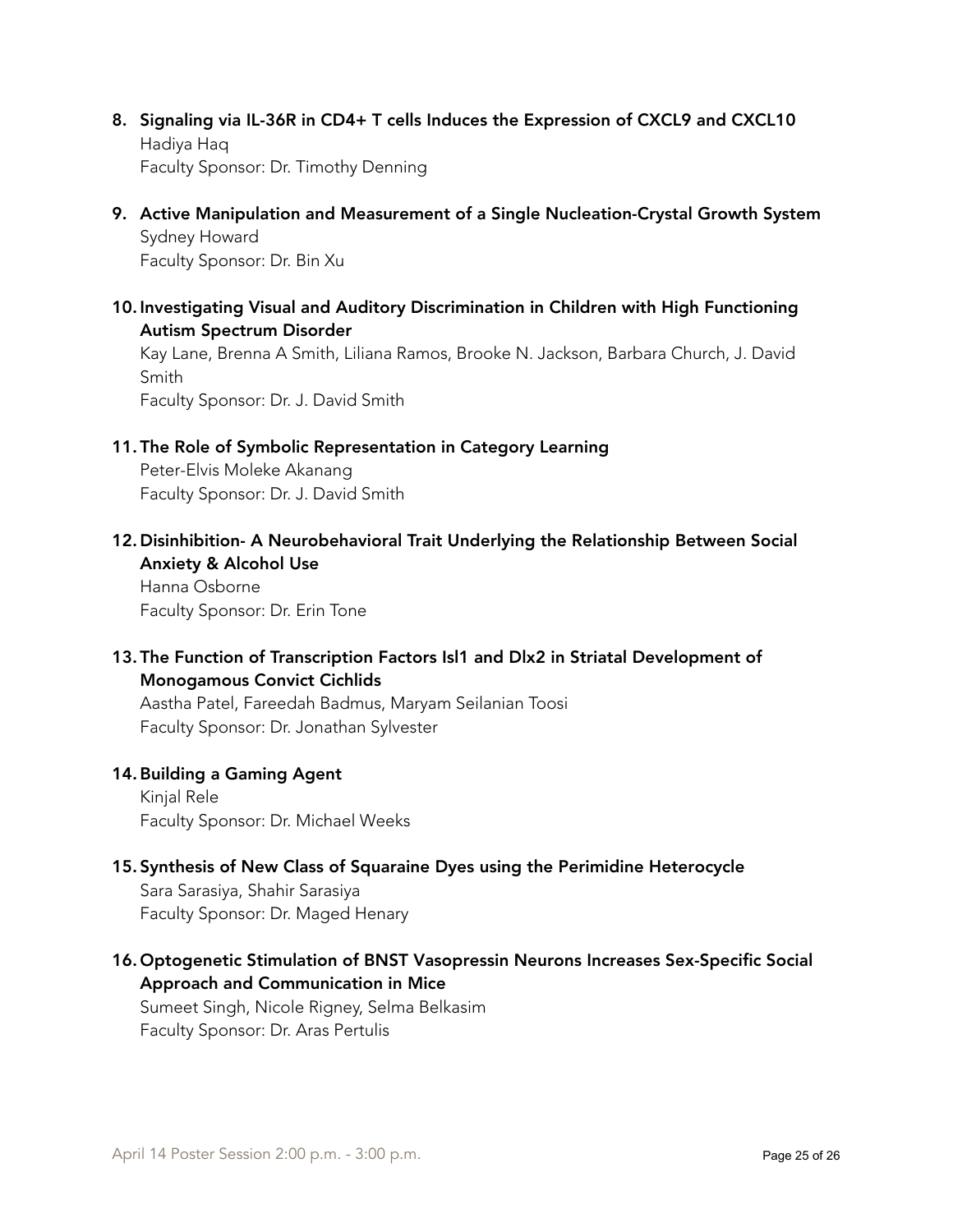- 8. Signaling via IL-36R in CD4+ T cells Induces the Expression of CXCL9 and CXCL10 Hadiya Haq Faculty Sponsor: Dr. Timothy Denning
- 9. Active Manipulation and Measurement of a Single Nucleation-Crystal Growth System Sydney Howard Faculty Sponsor: Dr. Bin Xu
- 10. Investigating Visual and Auditory Discrimination in Children with High Functioning Autism Spectrum Disorder

Kay Lane, Brenna A Smith, Liliana Ramos, Brooke N. Jackson, Barbara Church, J. David Smith

Faculty Sponsor: Dr. J. David Smith

11. The Role of Symbolic Representation in Category Learning

Peter-Elvis Moleke Akanang Faculty Sponsor: Dr. J. David Smith

12. Disinhibition- A Neurobehavioral Trait Underlying the Relationship Between Social Anxiety & Alcohol Use

Hanna Osborne Faculty Sponsor: Dr. Erin Tone

13. The Function of Transcription Factors Isl1 and Dlx2 in Striatal Development of Monogamous Convict Cichlids

Aastha Patel, Fareedah Badmus, Maryam Seilanian Toosi Faculty Sponsor: Dr. Jonathan Sylvester

#### 14.Building a Gaming Agent

Kinjal Rele Faculty Sponsor: Dr. Michael Weeks

15. Synthesis of New Class of Squaraine Dyes using the Perimidine Heterocycle

Sara Sarasiya, Shahir Sarasiya Faculty Sponsor: Dr. Maged Henary

16. Optogenetic Stimulation of BNST Vasopressin Neurons Increases Sex-Specific Social Approach and Communication in Mice

Sumeet Singh, Nicole Rigney, Selma Belkasim Faculty Sponsor: Dr. Aras Pertulis